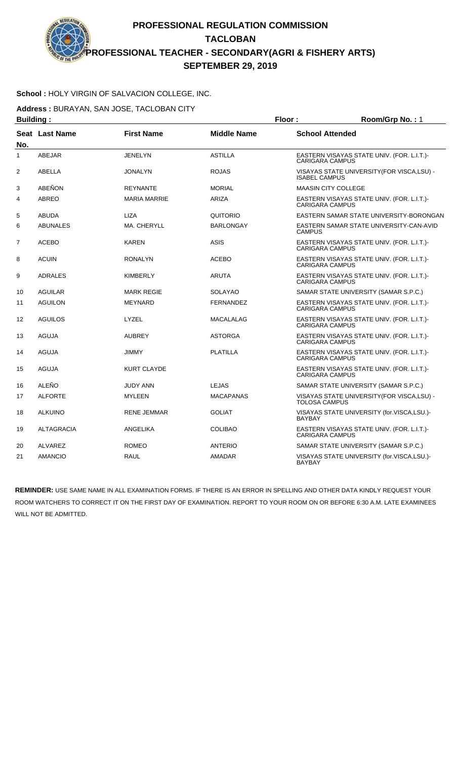#### **School :** HOLY VIRGIN OF SALVACION COLLEGE, INC.

Address : BURAYAN, SAN JOSE, TACLOBAN CITY

| <b>Building:</b> |                   |                     | Floor:             | Room/Grp No.: 1            |                                             |
|------------------|-------------------|---------------------|--------------------|----------------------------|---------------------------------------------|
| No.              | Seat Last Name    | <b>First Name</b>   | <b>Middle Name</b> | <b>School Attended</b>     |                                             |
| $\mathbf{1}$     | <b>ABEJAR</b>     | <b>JENELYN</b>      | <b>ASTILLA</b>     | <b>CARIGARA CAMPUS</b>     | EASTERN VISAYAS STATE UNIV. (FOR. L.I.T.)-  |
| 2                | ABELLA            | <b>JONALYN</b>      | <b>ROJAS</b>       | <b>ISABEL CAMPUS</b>       | VISAYAS STATE UNIVERSITY (FOR VISCA, LSU) - |
| 3                | ABEÑON            | <b>REYNANTE</b>     | <b>MORIAL</b>      | <b>MAASIN CITY COLLEGE</b> |                                             |
| 4                | <b>ABREO</b>      | <b>MARIA MARRIE</b> | ARIZA              | <b>CARIGARA CAMPUS</b>     | EASTERN VISAYAS STATE UNIV. (FOR. L.I.T.)-  |
| 5                | <b>ABUDA</b>      | <b>LIZA</b>         | QUITORIO           |                            | EASTERN SAMAR STATE UNIVERSITY-BORONGAN     |
| 6                | <b>ABUNALES</b>   | MA. CHERYLL         | <b>BARLONGAY</b>   | <b>CAMPUS</b>              | EASTERN SAMAR STATE UNIVERSITY-CAN-AVID     |
| $\overline{7}$   | <b>ACEBO</b>      | <b>KAREN</b>        | <b>ASIS</b>        | <b>CARIGARA CAMPUS</b>     | EASTERN VISAYAS STATE UNIV. (FOR. L.I.T.)-  |
| 8                | <b>ACUIN</b>      | <b>RONALYN</b>      | <b>ACEBO</b>       | <b>CARIGARA CAMPUS</b>     | EASTERN VISAYAS STATE UNIV. (FOR. L.I.T.)-  |
| 9                | ADRALES           | <b>KIMBERLY</b>     | <b>ARUTA</b>       | <b>CARIGARA CAMPUS</b>     | EASTERN VISAYAS STATE UNIV. (FOR. L.I.T.)-  |
| 10               | <b>AGUILAR</b>    | <b>MARK REGIE</b>   | <b>SOLAYAO</b>     |                            | SAMAR STATE UNIVERSITY (SAMAR S.P.C.)       |
| 11               | <b>AGUILON</b>    | <b>MEYNARD</b>      | <b>FERNANDEZ</b>   | <b>CARIGARA CAMPUS</b>     | EASTERN VISAYAS STATE UNIV. (FOR. L.I.T.)-  |
| 12               | <b>AGUILOS</b>    | LYZEL               | <b>MACALALAG</b>   | <b>CARIGARA CAMPUS</b>     | EASTERN VISAYAS STATE UNIV. (FOR. L.I.T.)-  |
| 13               | <b>AGUJA</b>      | <b>AUBREY</b>       | <b>ASTORGA</b>     | <b>CARIGARA CAMPUS</b>     | EASTERN VISAYAS STATE UNIV. (FOR. L.I.T.)-  |
| 14               | <b>AGUJA</b>      | <b>JIMMY</b>        | <b>PLATILLA</b>    | <b>CARIGARA CAMPUS</b>     | EASTERN VISAYAS STATE UNIV. (FOR. L.I.T.)-  |
| 15               | <b>AGUJA</b>      | <b>KURT CLAYDE</b>  |                    | <b>CARIGARA CAMPUS</b>     | EASTERN VISAYAS STATE UNIV. (FOR. L.I.T.)-  |
| 16               | <b>ALEÑO</b>      | <b>JUDY ANN</b>     | <b>LEJAS</b>       |                            | SAMAR STATE UNIVERSITY (SAMAR S.P.C.)       |
| 17               | <b>ALFORTE</b>    | <b>MYLEEN</b>       | <b>MACAPANAS</b>   | <b>TOLOSA CAMPUS</b>       | VISAYAS STATE UNIVERSITY(FOR VISCA,LSU) -   |
| 18               | <b>ALKUINO</b>    | <b>RENE JEMMAR</b>  | <b>GOLIAT</b>      | <b>BAYBAY</b>              | VISAYAS STATE UNIVERSITY (for.VISCA,LSU.)-  |
| 19               | <b>ALTAGRACIA</b> | <b>ANGELIKA</b>     | <b>COLIBAO</b>     | <b>CARIGARA CAMPUS</b>     | EASTERN VISAYAS STATE UNIV. (FOR. L.I.T.)-  |
| 20               | ALVAREZ           | <b>ROMEO</b>        | <b>ANTERIO</b>     |                            | SAMAR STATE UNIVERSITY (SAMAR S.P.C.)       |
| 21               | <b>AMANCIO</b>    | <b>RAUL</b>         | AMADAR             | <b>BAYBAY</b>              | VISAYAS STATE UNIVERSITY (for.VISCA,LSU.)-  |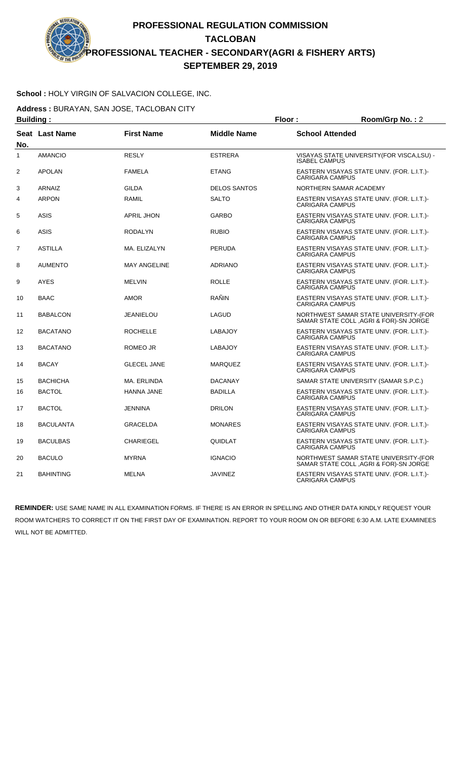#### **School :** HOLY VIRGIN OF SALVACION COLLEGE, INC.

**Address :** BURAYAN, SAN JOSE, TACLOBAN CITY

| <b>Building:</b> |                  |                     |                     | Floor:<br>Room/Grp No.: 2 |                                                                                  |  |
|------------------|------------------|---------------------|---------------------|---------------------------|----------------------------------------------------------------------------------|--|
| No.              | Seat Last Name   | <b>First Name</b>   | <b>Middle Name</b>  | <b>School Attended</b>    |                                                                                  |  |
| $\mathbf{1}$     | <b>AMANCIO</b>   | <b>RESLY</b>        | <b>ESTRERA</b>      | <b>ISABEL CAMPUS</b>      | VISAYAS STATE UNIVERSITY(FOR VISCA,LSU) -                                        |  |
| $\overline{2}$   | <b>APOLAN</b>    | <b>FAMELA</b>       | <b>ETANG</b>        | <b>CARIGARA CAMPUS</b>    | EASTERN VISAYAS STATE UNIV. (FOR. L.I.T.)-                                       |  |
| 3                | <b>ARNAIZ</b>    | <b>GILDA</b>        | <b>DELOS SANTOS</b> |                           | NORTHERN SAMAR ACADEMY                                                           |  |
| $\overline{4}$   | <b>ARPON</b>     | <b>RAMIL</b>        | <b>SALTO</b>        | <b>CARIGARA CAMPUS</b>    | EASTERN VISAYAS STATE UNIV. (FOR. L.I.T.)-                                       |  |
| 5                | <b>ASIS</b>      | <b>APRIL JHON</b>   | <b>GARBO</b>        | <b>CARIGARA CAMPUS</b>    | EASTERN VISAYAS STATE UNIV. (FOR. L.I.T.)-                                       |  |
| 6                | <b>ASIS</b>      | <b>RODALYN</b>      | <b>RUBIO</b>        | <b>CARIGARA CAMPUS</b>    | EASTERN VISAYAS STATE UNIV. (FOR. L.I.T.)-                                       |  |
| $\overline{7}$   | <b>ASTILLA</b>   | MA. ELIZALYN        | <b>PERUDA</b>       | CARIGARA CAMPUS           | EASTERN VISAYAS STATE UNIV. (FOR. L.I.T.)-                                       |  |
| 8                | <b>AUMENTO</b>   | <b>MAY ANGELINE</b> | <b>ADRIANO</b>      | <b>CARIGARA CAMPUS</b>    | EASTERN VISAYAS STATE UNIV. (FOR. L.I.T.)-                                       |  |
| 9                | <b>AYES</b>      | <b>MELVIN</b>       | <b>ROLLE</b>        | <b>CARIGARA CAMPUS</b>    | EASTERN VISAYAS STATE UNIV. (FOR. L.I.T.)-                                       |  |
| 10               | <b>BAAC</b>      | <b>AMOR</b>         | RAÑIN               | <b>CARIGARA CAMPUS</b>    | EASTERN VISAYAS STATE UNIV. (FOR. L.I.T.)-                                       |  |
| 11               | <b>BABALCON</b>  | <b>JEANIELOU</b>    | LAGUD               |                           | NORTHWEST SAMAR STATE UNIVERSITY-(FOR<br>SAMAR STATE COLL, AGRI & FOR)-SN JORGE  |  |
| 12               | <b>BACATANO</b>  | <b>ROCHELLE</b>     | <b>LABAJOY</b>      | <b>CARIGARA CAMPUS</b>    | EASTERN VISAYAS STATE UNIV. (FOR. L.I.T.)-                                       |  |
| 13               | <b>BACATANO</b>  | ROMEO JR            | <b>LABAJOY</b>      | <b>CARIGARA CAMPUS</b>    | EASTERN VISAYAS STATE UNIV. (FOR. L.I.T.)-                                       |  |
| 14               | <b>BACAY</b>     | <b>GLECEL JANE</b>  | <b>MARQUEZ</b>      | <b>CARIGARA CAMPUS</b>    | EASTERN VISAYAS STATE UNIV. (FOR. L.I.T.)-                                       |  |
| 15               | <b>BACHICHA</b>  | MA. ERLINDA         | <b>DACANAY</b>      |                           | SAMAR STATE UNIVERSITY (SAMAR S.P.C.)                                            |  |
| 16               | <b>BACTOL</b>    | <b>HANNA JANE</b>   | <b>BADILLA</b>      | <b>CARIGARA CAMPUS</b>    | EASTERN VISAYAS STATE UNIV. (FOR. L.I.T.)-                                       |  |
| 17               | <b>BACTOL</b>    | <b>JENNINA</b>      | <b>DRILON</b>       | <b>CARIGARA CAMPUS</b>    | EASTERN VISAYAS STATE UNIV. (FOR. L.I.T.)-                                       |  |
| 18               | <b>BACULANTA</b> | <b>GRACELDA</b>     | <b>MONARES</b>      | <b>CARIGARA CAMPUS</b>    | EASTERN VISAYAS STATE UNIV. (FOR. L.I.T.)-                                       |  |
| 19               | <b>BACULBAS</b>  | <b>CHARIEGEL</b>    | QUIDLAT             | <b>CARIGARA CAMPUS</b>    | EASTERN VISAYAS STATE UNIV. (FOR. L.I.T.)-                                       |  |
| 20               | <b>BACULO</b>    | <b>MYRNA</b>        | <b>IGNACIO</b>      |                           | NORTHWEST SAMAR STATE UNIVERSITY-(FOR<br>SAMAR STATE COLL , AGRI & FOR)-SN JORGE |  |
| 21               | <b>BAHINTING</b> | <b>MELNA</b>        | <b>JAVINEZ</b>      | <b>CARIGARA CAMPUS</b>    | EASTERN VISAYAS STATE UNIV. (FOR. L.I.T.)-                                       |  |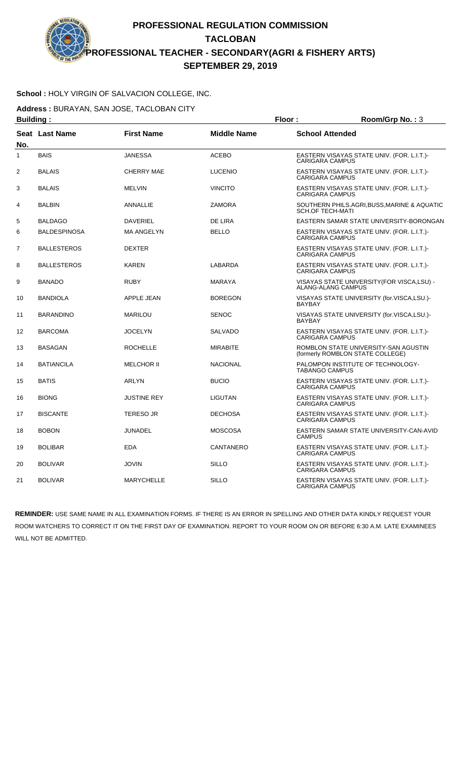#### **School :** HOLY VIRGIN OF SALVACION COLLEGE, INC.

**Address :** BURAYAN, SAN JOSE, TACLOBAN CITY

| <b>Building:</b> |                    |                    | Floor:             | Room/Grp No.: 3                                                          |
|------------------|--------------------|--------------------|--------------------|--------------------------------------------------------------------------|
| No.              | Seat Last Name     | <b>First Name</b>  | <b>Middle Name</b> | <b>School Attended</b>                                                   |
| 1                | <b>BAIS</b>        | <b>JANESSA</b>     | <b>ACEBO</b>       | EASTERN VISAYAS STATE UNIV. (FOR. L.I.T.)-<br><b>CARIGARA CAMPUS</b>     |
| $\overline{2}$   | <b>BALAIS</b>      | <b>CHERRY MAE</b>  | <b>LUCENIO</b>     | EASTERN VISAYAS STATE UNIV. (FOR. L.I.T.)-<br><b>CARIGARA CAMPUS</b>     |
| 3                | <b>BALAIS</b>      | <b>MELVIN</b>      | <b>VINCITO</b>     | EASTERN VISAYAS STATE UNIV. (FOR. L.I.T.)-<br><b>CARIGARA CAMPUS</b>     |
| 4                | <b>BALBIN</b>      | <b>ANNALLIE</b>    | <b>ZAMORA</b>      | SOUTHERN PHILS.AGRI, BUSS, MARINE & AQUATIC<br><b>SCH.OF TECH-MATI</b>   |
| 5                | <b>BALDAGO</b>     | <b>DAVERIEL</b>    | <b>DE LIRA</b>     | EASTERN SAMAR STATE UNIVERSITY-BORONGAN                                  |
| 6                | BALDESPINOSA       | <b>MA ANGELYN</b>  | <b>BELLO</b>       | EASTERN VISAYAS STATE UNIV. (FOR. L.I.T.)-<br><b>CARIGARA CAMPUS</b>     |
| 7                | <b>BALLESTEROS</b> | <b>DEXTER</b>      |                    | EASTERN VISAYAS STATE UNIV. (FOR. L.I.T.)-<br><b>CARIGARA CAMPUS</b>     |
| 8                | <b>BALLESTEROS</b> | <b>KAREN</b>       | LABARDA            | EASTERN VISAYAS STATE UNIV. (FOR. L.I.T.)-<br><b>CARIGARA CAMPUS</b>     |
| 9                | <b>BANADO</b>      | <b>RUBY</b>        | <b>MARAYA</b>      | VISAYAS STATE UNIVERSITY(FOR VISCA,LSU) -<br>ALANG-ALANG CAMPUS          |
| 10               | <b>BANDIOLA</b>    | APPLE JEAN         | <b>BOREGON</b>     | VISAYAS STATE UNIVERSITY (for.VISCA,LSU.)-<br><b>BAYBAY</b>              |
| 11               | <b>BARANDINO</b>   | <b>MARILOU</b>     | <b>SENOC</b>       | VISAYAS STATE UNIVERSITY (for.VISCA,LSU.)-<br><b>BAYBAY</b>              |
| 12               | <b>BARCOMA</b>     | <b>JOCELYN</b>     | <b>SALVADO</b>     | EASTERN VISAYAS STATE UNIV. (FOR. L.I.T.)-<br><b>CARIGARA CAMPUS</b>     |
| 13               | <b>BASAGAN</b>     | <b>ROCHELLE</b>    | <b>MIRABITE</b>    | ROMBLON STATE UNIVERSITY-SAN AGUSTIN<br>(formerly ROMBLON STATE COLLEGE) |
| 14               | <b>BATIANCILA</b>  | <b>MELCHOR II</b>  | <b>NACIONAL</b>    | PALOMPON INSTITUTE OF TECHNOLOGY-<br><b>TABANGO CAMPUS</b>               |
| 15               | <b>BATIS</b>       | <b>ARLYN</b>       | <b>BUCIO</b>       | EASTERN VISAYAS STATE UNIV. (FOR. L.I.T.)-<br><b>CARIGARA CAMPUS</b>     |
| 16               | <b>BIONG</b>       | <b>JUSTINE REY</b> | <b>LIGUTAN</b>     | EASTERN VISAYAS STATE UNIV. (FOR. L.I.T.)-<br><b>CARIGARA CAMPUS</b>     |
| 17               | <b>BISCANTE</b>    | <b>TERESO JR</b>   | <b>DECHOSA</b>     | EASTERN VISAYAS STATE UNIV. (FOR. L.I.T.)-<br><b>CARIGARA CAMPUS</b>     |
| 18               | <b>BOBON</b>       | JUNADEL            | <b>MOSCOSA</b>     | EASTERN SAMAR STATE UNIVERSITY-CAN-AVID<br><b>CAMPUS</b>                 |
| 19               | <b>BOLIBAR</b>     | <b>EDA</b>         | CANTANERO          | EASTERN VISAYAS STATE UNIV. (FOR. L.I.T.)-<br><b>CARIGARA CAMPUS</b>     |
| 20               | <b>BOLIVAR</b>     | <b>JOVIN</b>       | <b>SILLO</b>       | EASTERN VISAYAS STATE UNIV. (FOR. L.I.T.)-<br><b>CARIGARA CAMPUS</b>     |
| 21               | <b>BOLIVAR</b>     | <b>MARYCHELLE</b>  | SILLO              | EASTERN VISAYAS STATE UNIV. (FOR. L.I.T.)-<br><b>CARIGARA CAMPUS</b>     |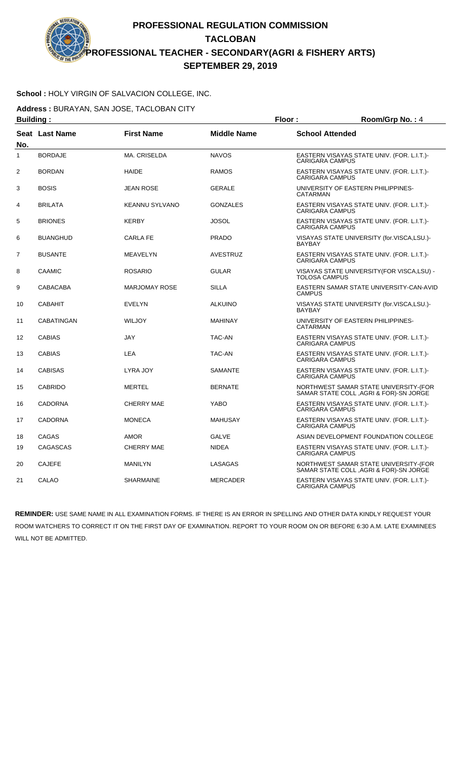### **School :** HOLY VIRGIN OF SALVACION COLLEGE, INC.

**Address :** BURAYAN, SAN JOSE, TACLOBAN CITY

|                | <b>Building:</b><br>Floor: |                       |                    |                        | Room/Grp No.: 4                                                                  |
|----------------|----------------------------|-----------------------|--------------------|------------------------|----------------------------------------------------------------------------------|
| No.            | <b>Seat Last Name</b>      | <b>First Name</b>     | <b>Middle Name</b> | <b>School Attended</b> |                                                                                  |
| $\mathbf{1}$   | <b>BORDAJE</b>             | MA. CRISELDA          | <b>NAVOS</b>       | <b>CARIGARA CAMPUS</b> | EASTERN VISAYAS STATE UNIV. (FOR. L.I.T.)-                                       |
| 2              | <b>BORDAN</b>              | <b>HAIDE</b>          | <b>RAMOS</b>       | <b>CARIGARA CAMPUS</b> | EASTERN VISAYAS STATE UNIV. (FOR. L.I.T.)-                                       |
| 3              | <b>BOSIS</b>               | <b>JEAN ROSE</b>      | <b>GERALE</b>      | CATARMAN               | UNIVERSITY OF EASTERN PHILIPPINES-                                               |
| $\overline{4}$ | <b>BRILATA</b>             | <b>KEANNU SYLVANO</b> | <b>GONZALES</b>    | <b>CARIGARA CAMPUS</b> | EASTERN VISAYAS STATE UNIV. (FOR. L.I.T.)-                                       |
| 5              | <b>BRIONES</b>             | <b>KERBY</b>          | <b>JOSOL</b>       | <b>CARIGARA CAMPUS</b> | EASTERN VISAYAS STATE UNIV. (FOR. L.I.T.)-                                       |
| 6              | <b>BUANGHUD</b>            | <b>CARLA FE</b>       | <b>PRADO</b>       | <b>BAYBAY</b>          | VISAYAS STATE UNIVERSITY (for.VISCA,LSU.)-                                       |
| $\overline{7}$ | <b>BUSANTE</b>             | <b>MEAVELYN</b>       | <b>AVESTRUZ</b>    | <b>CARIGARA CAMPUS</b> | EASTERN VISAYAS STATE UNIV. (FOR. L.I.T.)-                                       |
| 8              | CAAMIC                     | <b>ROSARIO</b>        | <b>GULAR</b>       | TOLOSA CAMPUS          | VISAYAS STATE UNIVERSITY(FOR VISCA,LSU) -                                        |
| 9              | <b>CABACABA</b>            | <b>MARJOMAY ROSE</b>  | <b>SILLA</b>       | <b>CAMPUS</b>          | EASTERN SAMAR STATE UNIVERSITY-CAN-AVID                                          |
| 10             | <b>CABAHIT</b>             | <b>EVELYN</b>         | <b>ALKUINO</b>     | <b>BAYBAY</b>          | VISAYAS STATE UNIVERSITY (for.VISCA,LSU.)-                                       |
| 11             | <b>CABATINGAN</b>          | <b>WILJOY</b>         | <b>MAHINAY</b>     | CATARMAN               | UNIVERSITY OF EASTERN PHILIPPINES-                                               |
| 12             | <b>CABIAS</b>              | <b>JAY</b>            | <b>TAC-AN</b>      | <b>CARIGARA CAMPUS</b> | EASTERN VISAYAS STATE UNIV. (FOR. L.I.T.)-                                       |
| 13             | <b>CABIAS</b>              | LEA                   | TAC-AN             | <b>CARIGARA CAMPUS</b> | EASTERN VISAYAS STATE UNIV. (FOR. L.I.T.)-                                       |
| 14             | <b>CABISAS</b>             | LYRA JOY              | <b>SAMANTE</b>     | CARIGARA CAMPUS        | EASTERN VISAYAS STATE UNIV. (FOR. L.I.T.)-                                       |
| 15             | <b>CABRIDO</b>             | <b>MERTEL</b>         | <b>BERNATE</b>     |                        | NORTHWEST SAMAR STATE UNIVERSITY-(FOR<br>SAMAR STATE COLL, AGRI & FOR)-SN JORGE  |
| 16             | <b>CADORNA</b>             | <b>CHERRY MAE</b>     | <b>YABO</b>        | <b>CARIGARA CAMPUS</b> | EASTERN VISAYAS STATE UNIV. (FOR. L.I.T.)-                                       |
| 17             | <b>CADORNA</b>             | <b>MONECA</b>         | <b>MAHUSAY</b>     | <b>CARIGARA CAMPUS</b> | EASTERN VISAYAS STATE UNIV. (FOR. L.I.T.)-                                       |
| 18             | CAGAS                      | <b>AMOR</b>           | <b>GALVE</b>       |                        | ASIAN DEVELOPMENT FOUNDATION COLLEGE                                             |
| 19             | <b>CAGASCAS</b>            | <b>CHERRY MAE</b>     | <b>NIDEA</b>       | <b>CARIGARA CAMPUS</b> | EASTERN VISAYAS STATE UNIV. (FOR. L.I.T.)-                                       |
| 20             | <b>CAJEFE</b>              | <b>MANILYN</b>        | LASAGAS            |                        | NORTHWEST SAMAR STATE UNIVERSITY-(FOR<br>SAMAR STATE COLL , AGRI & FOR)-SN JORGE |
| 21             | CALAO                      | <b>SHARMAINE</b>      | <b>MERCADER</b>    | <b>CARIGARA CAMPUS</b> | EASTERN VISAYAS STATE UNIV. (FOR. L.I.T.)-                                       |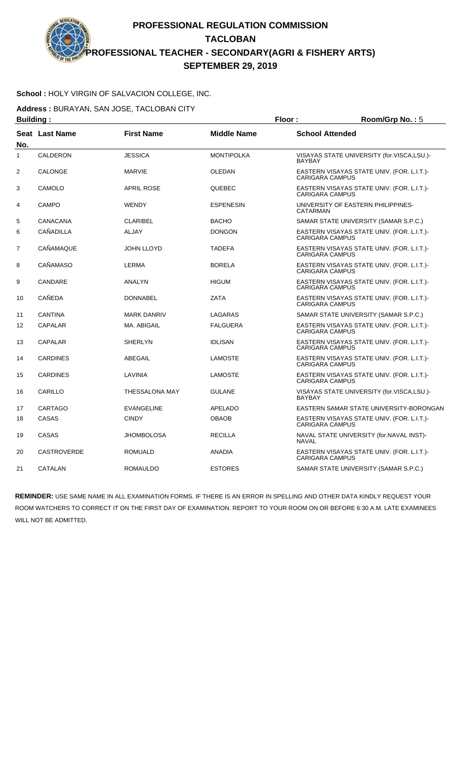### **School :** HOLY VIRGIN OF SALVACION COLLEGE, INC.

**Address :** BURAYAN, SAN JOSE, TACLOBAN CITY

|                | <b>Building:</b>      |                       |                    | Floor:                 | Room/Grp No.: 5                            |
|----------------|-----------------------|-----------------------|--------------------|------------------------|--------------------------------------------|
| No.            | <b>Seat Last Name</b> | <b>First Name</b>     | <b>Middle Name</b> | <b>School Attended</b> |                                            |
| $\mathbf{1}$   | <b>CALDERON</b>       | <b>JESSICA</b>        | <b>MONTIPOLKA</b>  | <b>BAYBAY</b>          | VISAYAS STATE UNIVERSITY (for.VISCA,LSU.)- |
| 2              | <b>CALONGE</b>        | <b>MARVIE</b>         | <b>OLEDAN</b>      | <b>CARIGARA CAMPUS</b> | EASTERN VISAYAS STATE UNIV. (FOR. L.I.T.)- |
| 3              | CAMOLO                | <b>APRIL ROSE</b>     | QUEBEC             | <b>CARIGARA CAMPUS</b> | EASTERN VISAYAS STATE UNIV. (FOR. L.I.T.)- |
| 4              | <b>CAMPO</b>          | <b>WENDY</b>          | <b>ESPENESIN</b>   | CATARMAN               | UNIVERSITY OF EASTERN PHILIPPINES-         |
| 5              | CANACANA              | <b>CLARIBEL</b>       | <b>BACHO</b>       |                        | SAMAR STATE UNIVERSITY (SAMAR S.P.C.)      |
| 6              | <b>CAÑADILLA</b>      | <b>ALJAY</b>          | <b>DONGON</b>      | <b>CARIGARA CAMPUS</b> | EASTERN VISAYAS STATE UNIV. (FOR. L.I.T.)- |
| $\overline{7}$ | <b>CAÑAMAQUE</b>      | <b>JOHN LLOYD</b>     | <b>TADEFA</b>      | <b>CARIGARA CAMPUS</b> | EASTERN VISAYAS STATE UNIV. (FOR. L.I.T.)- |
| 8              | CAÑAMASO              | <b>LERMA</b>          | <b>BORELA</b>      | <b>CARIGARA CAMPUS</b> | EASTERN VISAYAS STATE UNIV. (FOR. L.I.T.)- |
| 9              | CANDARE               | ANALYN                | <b>HIGUM</b>       | <b>CARIGARA CAMPUS</b> | EASTERN VISAYAS STATE UNIV. (FOR. L.I.T.)- |
| 10             | <b>CAÑEDA</b>         | <b>DONNABEL</b>       | <b>ZATA</b>        | <b>CARIGARA CAMPUS</b> | EASTERN VISAYAS STATE UNIV. (FOR. L.I.T.)- |
| 11             | <b>CANTINA</b>        | <b>MARK DANRIV</b>    | <b>LAGARAS</b>     |                        | SAMAR STATE UNIVERSITY (SAMAR S.P.C.)      |
| 12             | <b>CAPALAR</b>        | MA. ABIGAIL           | <b>FALGUERA</b>    | <b>CARIGARA CAMPUS</b> | EASTERN VISAYAS STATE UNIV. (FOR. L.I.T.)- |
| 13             | <b>CAPALAR</b>        | <b>SHERLYN</b>        | <b>IDLISAN</b>     | <b>CARIGARA CAMPUS</b> | EASTERN VISAYAS STATE UNIV. (FOR. L.I.T.)- |
| 14             | <b>CARDINES</b>       | ABEGAIL               | <b>LAMOSTE</b>     | <b>CARIGARA CAMPUS</b> | EASTERN VISAYAS STATE UNIV. (FOR. L.I.T.)- |
| 15             | <b>CARDINES</b>       | LAVINIA               | <b>LAMOSTE</b>     | <b>CARIGARA CAMPUS</b> | EASTERN VISAYAS STATE UNIV. (FOR. L.I.T.)- |
| 16             | CARILLO               | <b>THESSALONA MAY</b> | <b>GULANE</b>      | <b>BAYBAY</b>          | VISAYAS STATE UNIVERSITY (for.VISCA,LSU.)- |
| 17             | <b>CARTAGO</b>        | <b>EVANGELINE</b>     | <b>APELADO</b>     |                        | EASTERN SAMAR STATE UNIVERSITY-BORONGAN    |
| 18             | <b>CASAS</b>          | <b>CINDY</b>          | <b>OBAOB</b>       | <b>CARIGARA CAMPUS</b> | EASTERN VISAYAS STATE UNIV. (FOR. L.I.T.)- |
| 19             | CASAS                 | <b>JHOMBOLOSA</b>     | <b>RECILLA</b>     | <b>NAVAL</b>           | NAVAL STATE UNIVERSITY (for.NAVAL INST)-   |
| 20             | <b>CASTROVERDE</b>    | <b>ROMUALD</b>        | <b>ANADIA</b>      | <b>CARIGARA CAMPUS</b> | EASTERN VISAYAS STATE UNIV. (FOR. L.I.T.)- |
| 21             | CATALAN               | <b>ROMAULDO</b>       | <b>ESTORES</b>     |                        | SAMAR STATE UNIVERSITY (SAMAR S.P.C.)      |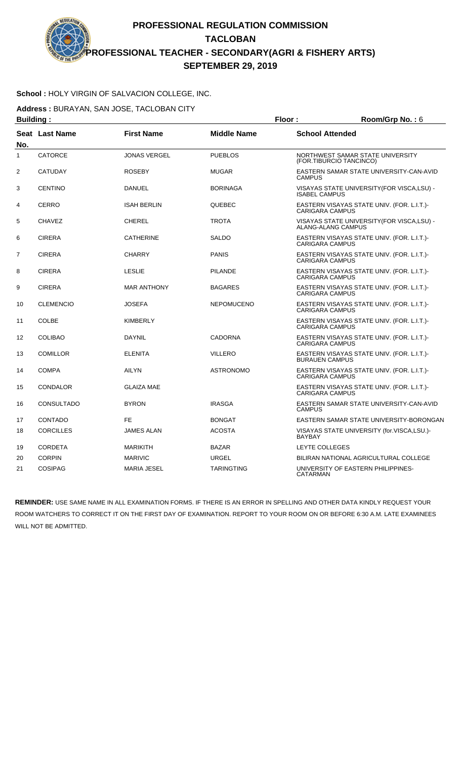### **School :** HOLY VIRGIN OF SALVACION COLLEGE, INC.

**Address :** BURAYAN, SAN JOSE, TACLOBAN CITY

| <b>Building:</b> |                  |                     |                    | Floor:<br>Room/Grp No.: 6 |                                                             |
|------------------|------------------|---------------------|--------------------|---------------------------|-------------------------------------------------------------|
| No.              | Seat Last Name   | <b>First Name</b>   | <b>Middle Name</b> | <b>School Attended</b>    |                                                             |
| $\mathbf{1}$     | <b>CATORCE</b>   | <b>JONAS VERGEL</b> | <b>PUEBLOS</b>     |                           | NORTHWEST SAMAR STATE UNIVERSITY<br>(FOR.TIBURCIO TANCINCO) |
| 2                | <b>CATUDAY</b>   | <b>ROSEBY</b>       | <b>MUGAR</b>       | <b>CAMPUS</b>             | EASTERN SAMAR STATE UNIVERSITY-CAN-AVID                     |
| 3                | <b>CENTINO</b>   | <b>DANUEL</b>       | <b>BORINAGA</b>    | <b>ISABEL CAMPUS</b>      | VISAYAS STATE UNIVERSITY (FOR VISCA, LSU) -                 |
| 4                | <b>CERRO</b>     | <b>ISAH BERLIN</b>  | QUEBEC             | <b>CARIGARA CAMPUS</b>    | EASTERN VISAYAS STATE UNIV. (FOR. L.I.T.)-                  |
| 5                | <b>CHAVEZ</b>    | <b>CHEREL</b>       | <b>TROTA</b>       | ALANG-ALANG CAMPUS        | VISAYAS STATE UNIVERSITY (FOR VISCA, LSU) -                 |
| 6                | <b>CIRERA</b>    | <b>CATHERINE</b>    | <b>SALDO</b>       | <b>CARIGARA CAMPUS</b>    | EASTERN VISAYAS STATE UNIV. (FOR. L.I.T.)-                  |
| 7                | <b>CIRERA</b>    | <b>CHARRY</b>       | <b>PANIS</b>       | <b>CARIGARA CAMPUS</b>    | EASTERN VISAYAS STATE UNIV. (FOR. L.I.T.)-                  |
| 8                | <b>CIRERA</b>    | <b>LESLIE</b>       | <b>PILANDE</b>     | <b>CARIGARA CAMPUS</b>    | EASTERN VISAYAS STATE UNIV. (FOR. L.I.T.)-                  |
| 9                | <b>CIRERA</b>    | <b>MAR ANTHONY</b>  | <b>BAGARES</b>     | <b>CARIGARA CAMPUS</b>    | EASTERN VISAYAS STATE UNIV. (FOR. L.I.T.)-                  |
| 10               | <b>CLEMENCIO</b> | <b>JOSEFA</b>       | <b>NEPOMUCENO</b>  | <b>CARIGARA CAMPUS</b>    | EASTERN VISAYAS STATE UNIV. (FOR. L.I.T.)-                  |
| 11               | <b>COLBE</b>     | <b>KIMBERLY</b>     |                    | <b>CARIGARA CAMPUS</b>    | EASTERN VISAYAS STATE UNIV. (FOR. L.I.T.)-                  |
| 12               | <b>COLIBAO</b>   | <b>DAYNIL</b>       | <b>CADORNA</b>     | <b>CARIGARA CAMPUS</b>    | EASTERN VISAYAS STATE UNIV. (FOR. L.I.T.)-                  |
| 13               | <b>COMILLOR</b>  | <b>ELENITA</b>      | <b>VILLERO</b>     | <b>BURAUEN CAMPUS</b>     | EASTERN VISAYAS STATE UNIV. (FOR. L.I.T.)-                  |
| 14               | <b>COMPA</b>     | <b>AILYN</b>        | <b>ASTRONOMO</b>   | <b>CARIGARA CAMPUS</b>    | EASTERN VISAYAS STATE UNIV. (FOR. L.I.T.)-                  |
| 15               | <b>CONDALOR</b>  | <b>GLAIZA MAE</b>   |                    | <b>CARIGARA CAMPUS</b>    | EASTERN VISAYAS STATE UNIV. (FOR. L.I.T.)-                  |
| 16               | CONSULTADO       | <b>BYRON</b>        | <b>IRASGA</b>      | <b>CAMPUS</b>             | EASTERN SAMAR STATE UNIVERSITY-CAN-AVID                     |
| 17               | CONTADO          | <b>FE</b>           | <b>BONGAT</b>      |                           | EASTERN SAMAR STATE UNIVERSITY-BORONGAN                     |
| 18               | <b>CORCILLES</b> | <b>JAMES ALAN</b>   | <b>ACOSTA</b>      | <b>BAYBAY</b>             | VISAYAS STATE UNIVERSITY (for.VISCA,LSU.)-                  |
| 19               | <b>CORDETA</b>   | <b>MARIKITH</b>     | <b>BAZAR</b>       | LEYTE COLLEGES            |                                                             |
| 20               | <b>CORPIN</b>    | <b>MARIVIC</b>      | <b>URGEL</b>       |                           | BILIRAN NATIONAL AGRICULTURAL COLLEGE                       |
| 21               | <b>COSIPAG</b>   | <b>MARIA JESEL</b>  | <b>TARINGTING</b>  | <b>CATARMAN</b>           | UNIVERSITY OF EASTERN PHILIPPINES-                          |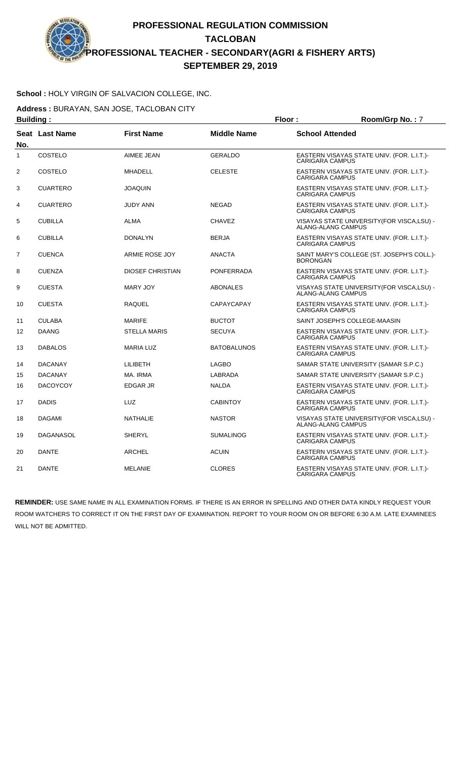#### **School :** HOLY VIRGIN OF SALVACION COLLEGE, INC.

**Address :** BURAYAN, SAN JOSE, TACLOBAN CITY

| <b>Building:</b> |                 |                         |                    | Floor:<br>Room/Grp No.: 7 |                                                                          |
|------------------|-----------------|-------------------------|--------------------|---------------------------|--------------------------------------------------------------------------|
| No.              | Seat Last Name  | <b>First Name</b>       | <b>Middle Name</b> | <b>School Attended</b>    |                                                                          |
| $\mathbf{1}$     | <b>COSTELO</b>  | AIMEE JEAN              | <b>GERALDO</b>     | <b>CARIGARA CAMPUS</b>    | EASTERN VISAYAS STATE UNIV. (FOR. L.I.T.)-                               |
| 2                | COSTELO         | <b>MHADELL</b>          | <b>CELESTE</b>     | <b>CARIGARA CAMPUS</b>    | EASTERN VISAYAS STATE UNIV. (FOR. L.I.T.)-                               |
| 3                | <b>CUARTERO</b> | <b>JOAQUIN</b>          |                    | <b>CARIGARA CAMPUS</b>    | EASTERN VISAYAS STATE UNIV. (FOR. L.I.T.)-                               |
| 4                | <b>CUARTERO</b> | <b>JUDY ANN</b>         | <b>NEGAD</b>       | <b>CARIGARA CAMPUS</b>    | EASTERN VISAYAS STATE UNIV. (FOR. L.I.T.)-                               |
| 5                | <b>CUBILLA</b>  | ALMA                    | <b>CHAVEZ</b>      |                           | VISAYAS STATE UNIVERSITY (FOR VISCA, LSU) -<br><b>ALANG-ALANG CAMPUS</b> |
| 6                | <b>CUBILLA</b>  | <b>DONALYN</b>          | <b>BERJA</b>       | <b>CARIGARA CAMPUS</b>    | EASTERN VISAYAS STATE UNIV. (FOR. L.I.T.)-                               |
| $\overline{7}$   | <b>CUENCA</b>   | ARMIE ROSE JOY          | <b>ANACTA</b>      | <b>BORONGAN</b>           | SAINT MARY'S COLLEGE (ST. JOSEPH'S COLL.)-                               |
| 8                | <b>CUENZA</b>   | <b>DIOSEF CHRISTIAN</b> | <b>PONFERRADA</b>  | <b>CARIGARA CAMPUS</b>    | EASTERN VISAYAS STATE UNIV. (FOR. L.I.T.)-                               |
| 9                | <b>CUESTA</b>   | <b>MARY JOY</b>         | <b>ABONALES</b>    |                           | VISAYAS STATE UNIVERSITY(FOR VISCA,LSU) -<br>ALANG-ALANG CAMPUS          |
| 10               | <b>CUESTA</b>   | RAQUEL                  | <b>CAPAYCAPAY</b>  | <b>CARIGARA CAMPUS</b>    | EASTERN VISAYAS STATE UNIV. (FOR. L.I.T.)-                               |
| 11               | <b>CULABA</b>   | <b>MARIFE</b>           | <b>BUCTOT</b>      |                           | SAINT JOSEPH'S COLLEGE-MAASIN                                            |
| 12               | <b>DAANG</b>    | <b>STELLA MARIS</b>     | <b>SECUYA</b>      | <b>CARIGARA CAMPUS</b>    | EASTERN VISAYAS STATE UNIV. (FOR. L.I.T.)-                               |
| 13               | <b>DABALOS</b>  | <b>MARIA LUZ</b>        | <b>BATOBALUNOS</b> | <b>CARIGARA CAMPUS</b>    | EASTERN VISAYAS STATE UNIV. (FOR. L.I.T.)-                               |
| 14               | <b>DACANAY</b>  | LILIBETH                | <b>LAGBO</b>       |                           | SAMAR STATE UNIVERSITY (SAMAR S.P.C.)                                    |
| 15               | <b>DACANAY</b>  | MA. IRMA                | LABRADA            |                           | SAMAR STATE UNIVERSITY (SAMAR S.P.C.)                                    |
| 16               | <b>DACOYCOY</b> | <b>EDGAR JR</b>         | <b>NALDA</b>       | <b>CARIGARA CAMPUS</b>    | EASTERN VISAYAS STATE UNIV. (FOR. L.I.T.)-                               |
| 17               | <b>DADIS</b>    | LUZ                     | <b>CABINTOY</b>    | <b>CARIGARA CAMPUS</b>    | EASTERN VISAYAS STATE UNIV. (FOR. L.I.T.)-                               |
| 18               | <b>DAGAMI</b>   | <b>NATHALIE</b>         | <b>NASTOR</b>      |                           | VISAYAS STATE UNIVERSITY (FOR VISCA, LSU) -<br>ALANG-ALANG CAMPUS        |
| 19               | DAGANASOL       | SHERYL                  | <b>SUMALINOG</b>   | <b>CARIGARA CAMPUS</b>    | EASTERN VISAYAS STATE UNIV. (FOR. L.I.T.)-                               |
| 20               | <b>DANTE</b>    | ARCHEL                  | <b>ACUIN</b>       | <b>CARIGARA CAMPUS</b>    | EASTERN VISAYAS STATE UNIV. (FOR. L.I.T.)-                               |
| 21               | <b>DANTE</b>    | <b>MELANIE</b>          | <b>CLORES</b>      | <b>CARIGARA CAMPUS</b>    | EASTERN VISAYAS STATE UNIV. (FOR. L.I.T.)-                               |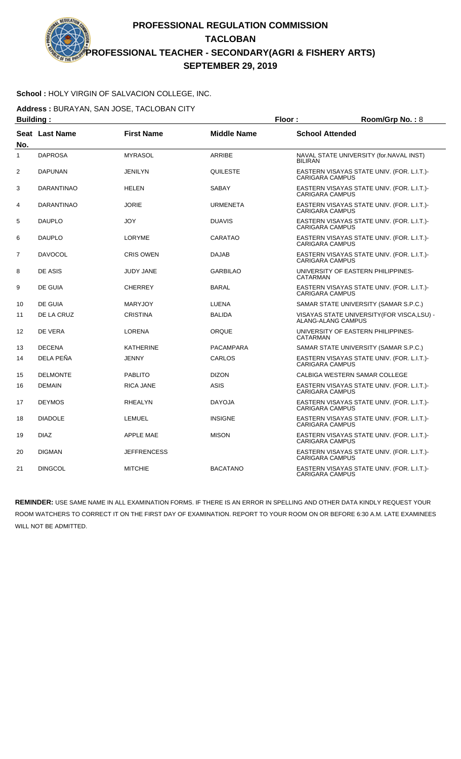### **School :** HOLY VIRGIN OF SALVACION COLLEGE, INC.

**Address :** BURAYAN, SAN JOSE, TACLOBAN CITY

| <b>Building:</b> |                   |                    | Floor:             | Room/Grp No.: 8        |                                                                   |
|------------------|-------------------|--------------------|--------------------|------------------------|-------------------------------------------------------------------|
| No.              | Seat Last Name    | <b>First Name</b>  | <b>Middle Name</b> | <b>School Attended</b> |                                                                   |
| $\mathbf{1}$     | <b>DAPROSA</b>    | <b>MYRASOL</b>     | <b>ARRIBE</b>      | <b>BILIRAN</b>         | NAVAL STATE UNIVERSITY (for.NAVAL INST)                           |
| 2                | <b>DAPUNAN</b>    | <b>JENILYN</b>     | QUILESTE           | <b>CARIGARA CAMPUS</b> | EASTERN VISAYAS STATE UNIV. (FOR. L.I.T.)-                        |
| 3                | <b>DARANTINAO</b> | <b>HELEN</b>       | <b>SABAY</b>       | <b>CARIGARA CAMPUS</b> | EASTERN VISAYAS STATE UNIV. (FOR. L.I.T.)-                        |
| 4                | <b>DARANTINAO</b> | <b>JORIE</b>       | <b>URMENETA</b>    | <b>CARIGARA CAMPUS</b> | EASTERN VISAYAS STATE UNIV. (FOR. L.I.T.)-                        |
| 5                | <b>DAUPLO</b>     | <b>JOY</b>         | <b>DUAVIS</b>      | <b>CARIGARA CAMPUS</b> | EASTERN VISAYAS STATE UNIV. (FOR. L.I.T.)-                        |
| 6                | <b>DAUPLO</b>     | <b>LORYME</b>      | CARATAO            | <b>CARIGARA CAMPUS</b> | EASTERN VISAYAS STATE UNIV. (FOR. L.I.T.)-                        |
| $\overline{7}$   | <b>DAVOCOL</b>    | <b>CRIS OWEN</b>   | <b>DAJAB</b>       | <b>CARIGARA CAMPUS</b> | EASTERN VISAYAS STATE UNIV. (FOR. L.I.T.)-                        |
| 8                | DE ASIS           | <b>JUDY JANE</b>   | <b>GARBILAO</b>    | <b>CATARMAN</b>        | UNIVERSITY OF EASTERN PHILIPPINES-                                |
| 9                | DE GUIA           | <b>CHERREY</b>     | <b>BARAL</b>       | <b>CARIGARA CAMPUS</b> | EASTERN VISAYAS STATE UNIV. (FOR. L.I.T.)-                        |
| 10               | <b>DE GUIA</b>    | <b>MARYJOY</b>     | <b>LUENA</b>       |                        | SAMAR STATE UNIVERSITY (SAMAR S.P.C.)                             |
| 11               | DE LA CRUZ        | <b>CRISTINA</b>    | <b>BALIDA</b>      |                        | VISAYAS STATE UNIVERSITY (FOR VISCA, LSU) -<br>ALANG-ALANG CAMPUS |
| 12               | DE VERA           | <b>LORENA</b>      | ORQUE              | CATARMAN               | UNIVERSITY OF EASTERN PHILIPPINES-                                |
| 13               | <b>DECENA</b>     | <b>KATHERINE</b>   | <b>PACAMPARA</b>   |                        | SAMAR STATE UNIVERSITY (SAMAR S.P.C.)                             |
| 14               | DELA PEÑA         | <b>JENNY</b>       | CARLOS             | <b>CARIGARA CAMPUS</b> | EASTERN VISAYAS STATE UNIV. (FOR. L.I.T.)-                        |
| 15               | <b>DELMONTE</b>   | <b>PABLITO</b>     | <b>DIZON</b>       |                        | CALBIGA WESTERN SAMAR COLLEGE                                     |
| 16               | <b>DEMAIN</b>     | <b>RICA JANE</b>   | <b>ASIS</b>        | <b>CARIGARA CAMPUS</b> | EASTERN VISAYAS STATE UNIV. (FOR. L.I.T.)-                        |
| 17               | <b>DEYMOS</b>     | <b>RHEALYN</b>     | <b>DAYOJA</b>      | <b>CARIGARA CAMPUS</b> | EASTERN VISAYAS STATE UNIV. (FOR. L.I.T.)-                        |
| 18               | <b>DIADOLE</b>    | <b>LEMUEL</b>      | <b>INSIGNE</b>     | <b>CARIGARA CAMPUS</b> | EASTERN VISAYAS STATE UNIV. (FOR. L.I.T.)-                        |
| 19               | <b>DIAZ</b>       | <b>APPLE MAE</b>   | <b>MISON</b>       | <b>CARIGARA CAMPUS</b> | EASTERN VISAYAS STATE UNIV. (FOR. L.I.T.)-                        |
| 20               | <b>DIGMAN</b>     | <b>JEFFRENCESS</b> |                    | <b>CARIGARA CAMPUS</b> | EASTERN VISAYAS STATE UNIV. (FOR. L.I.T.)-                        |
| 21               | <b>DINGCOL</b>    | <b>MITCHIE</b>     | <b>BACATANO</b>    | CARIGARA CAMPUS        | EASTERN VISAYAS STATE UNIV. (FOR. L.I.T.)-                        |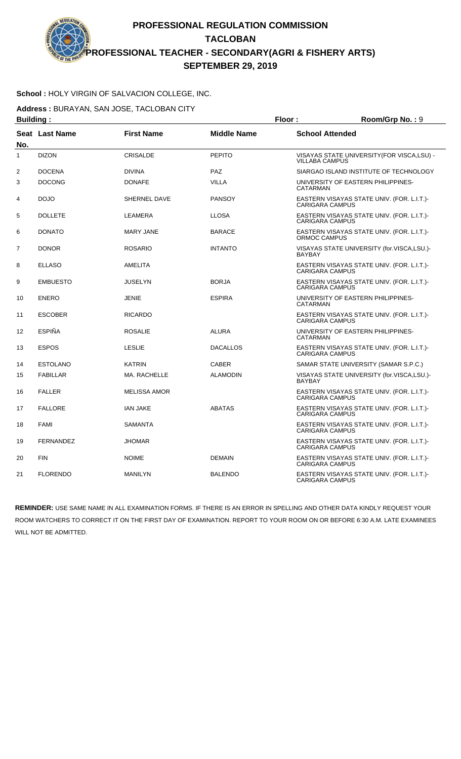### **School :** HOLY VIRGIN OF SALVACION COLLEGE, INC.

**Address :** BURAYAN, SAN JOSE, TACLOBAN CITY

| <b>Building:</b> |                  |                     |                    | Floor:                 | Room/Grp No.: 9                             |
|------------------|------------------|---------------------|--------------------|------------------------|---------------------------------------------|
| No.              | Seat Last Name   | <b>First Name</b>   | <b>Middle Name</b> | <b>School Attended</b> |                                             |
| $\mathbf{1}$     | <b>DIZON</b>     | <b>CRISALDE</b>     | <b>PEPITO</b>      | <b>VILLABA CAMPUS</b>  | VISAYAS STATE UNIVERSITY (FOR VISCA, LSU) - |
| 2                | <b>DOCENA</b>    | <b>DIVINA</b>       | PAZ                |                        | SIARGAO ISLAND INSTITUTE OF TECHNOLOGY      |
| 3                | <b>DOCONG</b>    | <b>DONAFE</b>       | <b>VILLA</b>       | <b>CATARMAN</b>        | UNIVERSITY OF EASTERN PHILIPPINES-          |
| 4                | <b>DOJO</b>      | <b>SHERNEL DAVE</b> | <b>PANSOY</b>      | <b>CARIGARA CAMPUS</b> | EASTERN VISAYAS STATE UNIV. (FOR. L.I.T.)-  |
| 5                | <b>DOLLETE</b>   | LEAMERA             | <b>LLOSA</b>       | <b>CARIGARA CAMPUS</b> | EASTERN VISAYAS STATE UNIV. (FOR. L.I.T.)-  |
| 6                | <b>DONATO</b>    | <b>MARY JANE</b>    | <b>BARACE</b>      | ORMOC CAMPUS           | EASTERN VISAYAS STATE UNIV. (FOR. L.I.T.)-  |
| $\overline{7}$   | <b>DONOR</b>     | <b>ROSARIO</b>      | <b>INTANTO</b>     | <b>BAYBAY</b>          | VISAYAS STATE UNIVERSITY (for.VISCA,LSU.)-  |
| 8                | <b>ELLASO</b>    | AMELITA             |                    | <b>CARIGARA CAMPUS</b> | EASTERN VISAYAS STATE UNIV. (FOR. L.I.T.)-  |
| 9                | <b>EMBUESTO</b>  | <b>JUSELYN</b>      | <b>BORJA</b>       | <b>CARIGARA CAMPUS</b> | EASTERN VISAYAS STATE UNIV. (FOR. L.I.T.)-  |
| 10               | <b>ENERO</b>     | <b>JENIE</b>        | <b>ESPIRA</b>      | <b>CATARMAN</b>        | UNIVERSITY OF EASTERN PHILIPPINES-          |
| 11               | <b>ESCOBER</b>   | <b>RICARDO</b>      |                    | <b>CARIGARA CAMPUS</b> | EASTERN VISAYAS STATE UNIV. (FOR. L.I.T.)-  |
| 12               | <b>ESPIÑA</b>    | <b>ROSALIE</b>      | <b>ALURA</b>       | CATARMAN               | UNIVERSITY OF EASTERN PHILIPPINES-          |
| 13               | <b>ESPOS</b>     | <b>LESLIE</b>       | <b>DACALLOS</b>    | <b>CARIGARA CAMPUS</b> | EASTERN VISAYAS STATE UNIV. (FOR. L.I.T.)-  |
| 14               | <b>ESTOLANO</b>  | <b>KATRIN</b>       | <b>CABER</b>       |                        | SAMAR STATE UNIVERSITY (SAMAR S.P.C.)       |
| 15               | <b>FABILLAR</b>  | MA. RACHELLE        | <b>ALAMODIN</b>    | <b>BAYBAY</b>          | VISAYAS STATE UNIVERSITY (for.VISCA,LSU.)-  |
| 16               | <b>FALLER</b>    | <b>MELISSA AMOR</b> |                    | <b>CARIGARA CAMPUS</b> | EASTERN VISAYAS STATE UNIV. (FOR. L.I.T.)-  |
| 17               | <b>FALLORE</b>   | <b>IAN JAKE</b>     | <b>ABATAS</b>      | <b>CARIGARA CAMPUS</b> | EASTERN VISAYAS STATE UNIV. (FOR. L.I.T.)-  |
| 18               | <b>FAMI</b>      | <b>SAMANTA</b>      |                    | <b>CARIGARA CAMPUS</b> | EASTERN VISAYAS STATE UNIV. (FOR. L.I.T.)-  |
| 19               | <b>FERNANDEZ</b> | <b>JHOMAR</b>       |                    | <b>CARIGARA CAMPUS</b> | EASTERN VISAYAS STATE UNIV. (FOR. L.I.T.)-  |
| 20               | <b>FIN</b>       | <b>NOIME</b>        | <b>DEMAIN</b>      | <b>CARIGARA CAMPUS</b> | EASTERN VISAYAS STATE UNIV. (FOR. L.I.T.)-  |
| 21               | <b>FLORENDO</b>  | <b>MANILYN</b>      | <b>BALENDO</b>     | <b>CARIGARA CAMPUS</b> | EASTERN VISAYAS STATE UNIV. (FOR. L.I.T.)-  |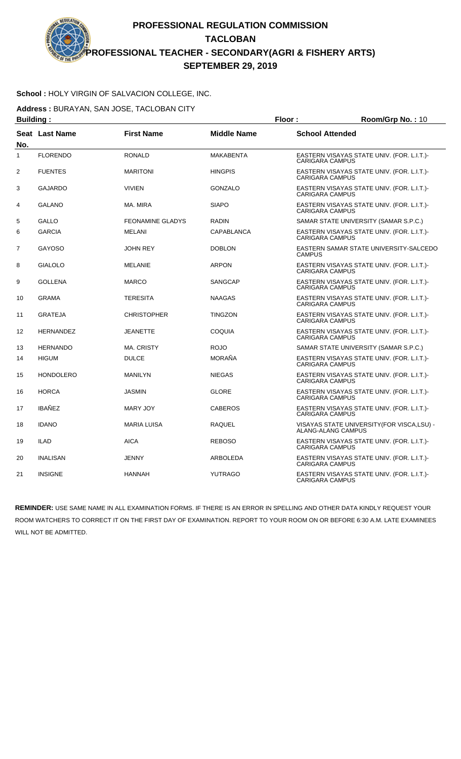### **School :** HOLY VIRGIN OF SALVACION COLLEGE, INC.

**Address :** BURAYAN, SAN JOSE, TACLOBAN CITY

| <b>Building:</b> |                  |                         |                    | Floor:<br>Room/Grp No.: 10 |                                                                   |
|------------------|------------------|-------------------------|--------------------|----------------------------|-------------------------------------------------------------------|
| No.              | Seat Last Name   | <b>First Name</b>       | <b>Middle Name</b> | <b>School Attended</b>     |                                                                   |
| $\mathbf{1}$     | <b>FLORENDO</b>  | <b>RONALD</b>           | <b>MAKABENTA</b>   | <b>CARIGARA CAMPUS</b>     | EASTERN VISAYAS STATE UNIV. (FOR. L.I.T.)-                        |
| $\overline{2}$   | <b>FUENTES</b>   | <b>MARITONI</b>         | <b>HINGPIS</b>     | <b>CARIGARA CAMPUS</b>     | EASTERN VISAYAS STATE UNIV. (FOR. L.I.T.)-                        |
| 3                | <b>GAJARDO</b>   | <b>VIVIEN</b>           | <b>GONZALO</b>     | <b>CARIGARA CAMPUS</b>     | EASTERN VISAYAS STATE UNIV. (FOR. L.I.T.)-                        |
| 4                | <b>GALANO</b>    | MA. MIRA                | <b>SIAPO</b>       | <b>CARIGARA CAMPUS</b>     | EASTERN VISAYAS STATE UNIV. (FOR. L.I.T.)-                        |
| 5                | <b>GALLO</b>     | <b>FEONAMINE GLADYS</b> | <b>RADIN</b>       |                            | SAMAR STATE UNIVERSITY (SAMAR S.P.C.)                             |
| 6                | <b>GARCIA</b>    | <b>MELANI</b>           | <b>CAPABLANCA</b>  | <b>CARIGARA CAMPUS</b>     | EASTERN VISAYAS STATE UNIV. (FOR. L.I.T.)-                        |
| $\overline{7}$   | <b>GAYOSO</b>    | <b>JOHN REY</b>         | <b>DOBLON</b>      | <b>CAMPUS</b>              | EASTERN SAMAR STATE UNIVERSITY-SALCEDO                            |
| 8                | <b>GIALOLO</b>   | <b>MELANIE</b>          | <b>ARPON</b>       | <b>CARIGARA CAMPUS</b>     | EASTERN VISAYAS STATE UNIV. (FOR. L.I.T.)-                        |
| 9                | <b>GOLLENA</b>   | <b>MARCO</b>            | <b>SANGCAP</b>     | <b>CARIGARA CAMPUS</b>     | EASTERN VISAYAS STATE UNIV. (FOR. L.I.T.)-                        |
| 10               | <b>GRAMA</b>     | <b>TERESITA</b>         | <b>NAAGAS</b>      | <b>CARIGARA CAMPUS</b>     | EASTERN VISAYAS STATE UNIV. (FOR. L.I.T.)-                        |
| 11               | <b>GRATEJA</b>   | <b>CHRISTOPHER</b>      | <b>TINGZON</b>     | <b>CARIGARA CAMPUS</b>     | EASTERN VISAYAS STATE UNIV. (FOR. L.I.T.)-                        |
| 12               | <b>HERNANDEZ</b> | <b>JEANETTE</b>         | <b>COQUIA</b>      | <b>CARIGARA CAMPUS</b>     | EASTERN VISAYAS STATE UNIV. (FOR. L.I.T.)-                        |
| 13               | <b>HERNANDO</b>  | <b>MA. CRISTY</b>       | <b>ROJO</b>        |                            | SAMAR STATE UNIVERSITY (SAMAR S.P.C.)                             |
| 14               | <b>HIGUM</b>     | <b>DULCE</b>            | <b>MORAÑA</b>      | <b>CARIGARA CAMPUS</b>     | EASTERN VISAYAS STATE UNIV. (FOR. L.I.T.)-                        |
| 15               | <b>HONDOLERO</b> | <b>MANILYN</b>          | <b>NIEGAS</b>      | <b>CARIGARA CAMPUS</b>     | EASTERN VISAYAS STATE UNIV. (FOR. L.I.T.)-                        |
| 16               | <b>HORCA</b>     | <b>JASMIN</b>           | <b>GLORE</b>       | <b>CARIGARA CAMPUS</b>     | EASTERN VISAYAS STATE UNIV. (FOR. L.I.T.)-                        |
| 17               | <b>IBAÑEZ</b>    | <b>MARY JOY</b>         | <b>CABEROS</b>     | <b>CARIGARA CAMPUS</b>     | EASTERN VISAYAS STATE UNIV. (FOR. L.I.T.)-                        |
| 18               | <b>IDANO</b>     | <b>MARIA LUISA</b>      | RAQUEL             |                            | VISAYAS STATE UNIVERSITY (FOR VISCA, LSU) -<br>ALANG-ALANG CAMPUS |
| 19               | <b>ILAD</b>      | <b>AICA</b>             | <b>REBOSO</b>      | <b>CARIGARA CAMPUS</b>     | EASTERN VISAYAS STATE UNIV. (FOR. L.I.T.)-                        |
| 20               | <b>INALISAN</b>  | <b>JENNY</b>            | ARBOLEDA           | <b>CARIGARA CAMPUS</b>     | EASTERN VISAYAS STATE UNIV. (FOR. L.I.T.)-                        |
| 21               | <b>INSIGNE</b>   | <b>HANNAH</b>           | <b>YUTRAGO</b>     | <b>CARIGARA CAMPUS</b>     | EASTERN VISAYAS STATE UNIV. (FOR. L.I.T.)-                        |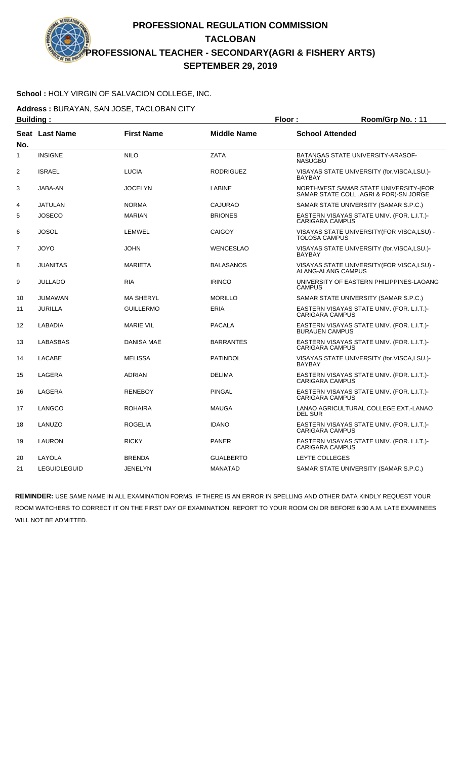### **School :** HOLY VIRGIN OF SALVACION COLLEGE, INC.

**Address :** BURAYAN, SAN JOSE, TACLOBAN CITY

| <b>Building:</b>  |                       |                   | Floor:             | Room/Grp No.: 11       |                                                                                 |
|-------------------|-----------------------|-------------------|--------------------|------------------------|---------------------------------------------------------------------------------|
| No.               | <b>Seat Last Name</b> | <b>First Name</b> | <b>Middle Name</b> | <b>School Attended</b> |                                                                                 |
| $\mathbf{1}$      | <b>INSIGNE</b>        | <b>NILO</b>       | <b>ZATA</b>        | <b>NASUGBU</b>         | <b>BATANGAS STATE UNIVERSITY-ARASOF-</b>                                        |
| 2                 | <b>ISRAEL</b>         | <b>LUCIA</b>      | <b>RODRIGUEZ</b>   | <b>BAYBAY</b>          | VISAYAS STATE UNIVERSITY (for.VISCA,LSU.)-                                      |
| 3                 | JABA-AN               | JOCELYN           | <b>LABINE</b>      |                        | NORTHWEST SAMAR STATE UNIVERSITY-(FOR<br>SAMAR STATE COLL, AGRI & FOR)-SN JORGE |
| 4                 | <b>JATULAN</b>        | <b>NORMA</b>      | <b>CAJURAO</b>     |                        | SAMAR STATE UNIVERSITY (SAMAR S.P.C.)                                           |
| 5                 | <b>JOSECO</b>         | <b>MARIAN</b>     | <b>BRIONES</b>     | <b>CARIGARA CAMPUS</b> | EASTERN VISAYAS STATE UNIV. (FOR. L.I.T.)-                                      |
| 6                 | JOSOL                 | LEMWEL            | <b>CAIGOY</b>      | <b>TOLOSA CAMPUS</b>   | VISAYAS STATE UNIVERSITY (FOR VISCA, LSU) -                                     |
| $\overline{7}$    | <b>JOYO</b>           | <b>JOHN</b>       | <b>WENCESLAO</b>   | <b>BAYBAY</b>          | VISAYAS STATE UNIVERSITY (for.VISCA,LSU.)-                                      |
| 8                 | <b>JUANITAS</b>       | <b>MARIETA</b>    | <b>BALASANOS</b>   | ALANG-ALANG CAMPUS     | VISAYAS STATE UNIVERSITY (FOR VISCA, LSU) -                                     |
| 9                 | <b>JULLADO</b>        | <b>RIA</b>        | <b>IRINCO</b>      | <b>CAMPUS</b>          | UNIVERSITY OF EASTERN PHILIPPINES-LAOANG                                        |
| 10                | <b>JUMAWAN</b>        | <b>MA SHERYL</b>  | <b>MORILLO</b>     |                        | SAMAR STATE UNIVERSITY (SAMAR S.P.C.)                                           |
| 11                | <b>JURILLA</b>        | <b>GUILLERMO</b>  | <b>ERIA</b>        | <b>CARIGARA CAMPUS</b> | EASTERN VISAYAS STATE UNIV. (FOR. L.I.T.)-                                      |
| $12 \overline{ }$ | <b>LABADIA</b>        | <b>MARIE VIL</b>  | <b>PACALA</b>      | <b>BURAUEN CAMPUS</b>  | EASTERN VISAYAS STATE UNIV. (FOR. L.I.T.)-                                      |
| 13                | <b>LABASBAS</b>       | <b>DANISA MAE</b> | <b>BARRANTES</b>   | <b>CARIGARA CAMPUS</b> | EASTERN VISAYAS STATE UNIV. (FOR. L.I.T.)-                                      |
| 14                | <b>LACABE</b>         | <b>MELISSA</b>    | <b>PATINDOL</b>    | <b>BAYBAY</b>          | VISAYAS STATE UNIVERSITY (for.VISCA,LSU.)-                                      |
| 15                | LAGERA                | <b>ADRIAN</b>     | <b>DELIMA</b>      | <b>CARIGARA CAMPUS</b> | EASTERN VISAYAS STATE UNIV. (FOR. L.I.T.)-                                      |
| 16                | LAGERA                | <b>RENEBOY</b>    | <b>PINGAL</b>      | <b>CARIGARA CAMPUS</b> | EASTERN VISAYAS STATE UNIV. (FOR. L.I.T.)-                                      |
| 17                | LANGCO                | <b>ROHAIRA</b>    | <b>MAUGA</b>       | <b>DEL SUR</b>         | LANAO AGRICULTURAL COLLEGE EXT.-LANAO                                           |
| 18                | LANUZO                | <b>ROGELIA</b>    | <b>IDANO</b>       | CARIGARA CAMPUS        | EASTERN VISAYAS STATE UNIV. (FOR. L.I.T.)-                                      |
| 19                | LAURON                | <b>RICKY</b>      | <b>PANER</b>       | <b>CARIGARA CAMPUS</b> | EASTERN VISAYAS STATE UNIV. (FOR. L.I.T.)-                                      |
| 20                | LAYOLA                | <b>BRENDA</b>     | <b>GUALBERTO</b>   | LEYTE COLLEGES         |                                                                                 |
| 21                | <b>LEGUIDLEGUID</b>   | <b>JENELYN</b>    | <b>MANATAD</b>     |                        | SAMAR STATE UNIVERSITY (SAMAR S.P.C.)                                           |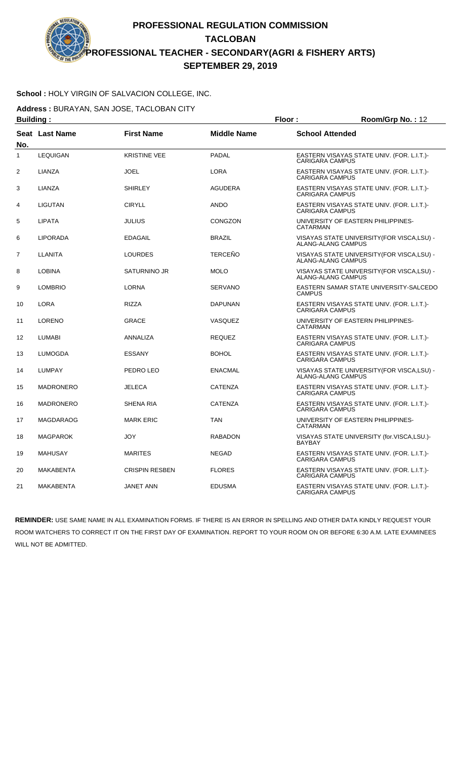### **School :** HOLY VIRGIN OF SALVACION COLLEGE, INC.

**Address :** BURAYAN, SAN JOSE, TACLOBAN CITY

| <b>Building:</b> |                       |                       | Floor:             | Room/Grp No.: 12       |                                             |
|------------------|-----------------------|-----------------------|--------------------|------------------------|---------------------------------------------|
| No.              | <b>Seat Last Name</b> | <b>First Name</b>     | <b>Middle Name</b> | <b>School Attended</b> |                                             |
| $\mathbf{1}$     | <b>LEQUIGAN</b>       | <b>KRISTINE VEE</b>   | PADAL              | CARIGARA CAMPUS        | EASTERN VISAYAS STATE UNIV. (FOR. L.I.T.)-  |
| 2                | LIANZA                | <b>JOEL</b>           | <b>LORA</b>        | <b>CARIGARA CAMPUS</b> | EASTERN VISAYAS STATE UNIV. (FOR. L.I.T.)-  |
| 3                | LIANZA                | <b>SHIRLEY</b>        | <b>AGUDERA</b>     | <b>CARIGARA CAMPUS</b> | EASTERN VISAYAS STATE UNIV. (FOR. L.I.T.)-  |
| 4                | <b>LIGUTAN</b>        | <b>CIRYLL</b>         | <b>ANDO</b>        | <b>CARIGARA CAMPUS</b> | EASTERN VISAYAS STATE UNIV. (FOR. L.I.T.)-  |
| 5                | <b>LIPATA</b>         | <b>JULIUS</b>         | <b>CONGZON</b>     | CATARMAN               | UNIVERSITY OF EASTERN PHILIPPINES-          |
| 6                | <b>LIPORADA</b>       | <b>EDAGAIL</b>        | <b>BRAZIL</b>      | ALANG-ALANG CAMPUS     | VISAYAS STATE UNIVERSITY (FOR VISCA, LSU) - |
| $\overline{7}$   | <b>LLANITA</b>        | <b>LOURDES</b>        | <b>TERCEÑO</b>     | ALANG-ALANG CAMPUS     | VISAYAS STATE UNIVERSITY(FOR VISCA,LSU) -   |
| 8                | <b>LOBINA</b>         | <b>SATURNINO JR</b>   | <b>MOLO</b>        | ALANG-ALANG CAMPUS     | VISAYAS STATE UNIVERSITY(FOR VISCA,LSU) -   |
| 9                | <b>LOMBRIO</b>        | <b>LORNA</b>          | <b>SERVANO</b>     | <b>CAMPUS</b>          | EASTERN SAMAR STATE UNIVERSITY-SALCEDO      |
| 10               | <b>LORA</b>           | <b>RIZZA</b>          | DAPUNAN            | <b>CARIGARA CAMPUS</b> | EASTERN VISAYAS STATE UNIV. (FOR. L.I.T.)-  |
| 11               | <b>LORENO</b>         | <b>GRACE</b>          | VASQUEZ            | CATARMAN               | UNIVERSITY OF EASTERN PHILIPPINES-          |
| 12               | <b>LUMABI</b>         | ANNALIZA              | <b>REQUEZ</b>      | <b>CARIGARA CAMPUS</b> | EASTERN VISAYAS STATE UNIV. (FOR. L.I.T.)-  |
| 13               | <b>LUMOGDA</b>        | <b>ESSANY</b>         | <b>BOHOL</b>       | <b>CARIGARA CAMPUS</b> | EASTERN VISAYAS STATE UNIV. (FOR. L.I.T.)-  |
| 14               | <b>LUMPAY</b>         | PEDRO LEO             | <b>ENACMAL</b>     | ALANG-ALANG CAMPUS     | VISAYAS STATE UNIVERSITY (FOR VISCA, LSU) - |
| 15               | <b>MADRONERO</b>      | <b>JELECA</b>         | <b>CATENZA</b>     | <b>CARIGARA CAMPUS</b> | EASTERN VISAYAS STATE UNIV. (FOR. L.I.T.)-  |
| 16               | <b>MADRONERO</b>      | <b>SHENA RIA</b>      | <b>CATENZA</b>     | <b>CARIGARA CAMPUS</b> | EASTERN VISAYAS STATE UNIV. (FOR. L.I.T.)-  |
| 17               | MAGDARAOG             | <b>MARK ERIC</b>      | <b>TAN</b>         | <b>CATARMAN</b>        | UNIVERSITY OF EASTERN PHILIPPINES-          |
| 18               | <b>MAGPAROK</b>       | <b>JOY</b>            | <b>RABADON</b>     | <b>BAYBAY</b>          | VISAYAS STATE UNIVERSITY (for.VISCA,LSU.)-  |
| 19               | <b>MAHUSAY</b>        | <b>MARITES</b>        | <b>NEGAD</b>       | <b>CARIGARA CAMPUS</b> | EASTERN VISAYAS STATE UNIV. (FOR. L.I.T.)-  |
| 20               | <b>MAKABENTA</b>      | <b>CRISPIN RESBEN</b> | <b>FLORES</b>      | <b>CARIGARA CAMPUS</b> | EASTERN VISAYAS STATE UNIV. (FOR. L.I.T.)-  |
| 21               | <b>MAKABENTA</b>      | <b>JANET ANN</b>      | <b>EDUSMA</b>      | <b>CARIGARA CAMPUS</b> | EASTERN VISAYAS STATE UNIV. (FOR. L.I.T.)-  |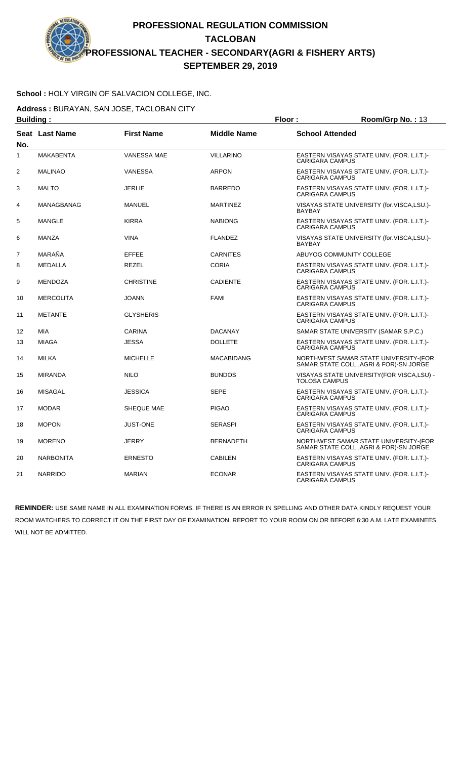### **School :** HOLY VIRGIN OF SALVACION COLLEGE, INC.

**Address :** BURAYAN, SAN JOSE, TACLOBAN CITY

| <b>Building:</b> |                   |                    | Floor:             | Room/Grp No.: 13                                                                 |
|------------------|-------------------|--------------------|--------------------|----------------------------------------------------------------------------------|
| No.              | Seat Last Name    | <b>First Name</b>  | <b>Middle Name</b> | <b>School Attended</b>                                                           |
| $\mathbf{1}$     | <b>MAKABENTA</b>  | <b>VANESSA MAE</b> | <b>VILLARINO</b>   | EASTERN VISAYAS STATE UNIV. (FOR. L.I.T.)-<br><b>CARIGARA CAMPUS</b>             |
| $\overline{2}$   | <b>MALINAO</b>    | <b>VANESSA</b>     | <b>ARPON</b>       | EASTERN VISAYAS STATE UNIV. (FOR. L.I.T.)-<br><b>CARIGARA CAMPUS</b>             |
| 3                | <b>MALTO</b>      | <b>JERLIE</b>      | <b>BARREDO</b>     | EASTERN VISAYAS STATE UNIV. (FOR. L.I.T.)-<br><b>CARIGARA CAMPUS</b>             |
| 4                | <b>MANAGBANAG</b> | <b>MANUEL</b>      | <b>MARTINEZ</b>    | VISAYAS STATE UNIVERSITY (for.VISCA.LSU.)-<br><b>BAYBAY</b>                      |
| 5                | <b>MANGLE</b>     | <b>KIRRA</b>       | <b>NABIONG</b>     | EASTERN VISAYAS STATE UNIV. (FOR. L.I.T.)-<br><b>CARIGARA CAMPUS</b>             |
| 6                | <b>MANZA</b>      | <b>VINA</b>        | <b>FLANDEZ</b>     | VISAYAS STATE UNIVERSITY (for.VISCA,LSU.)-<br><b>BAYBAY</b>                      |
| $\overline{7}$   | MARAÑA            | <b>EFFEE</b>       | <b>CARNITES</b>    | ABUYOG COMMUNITY COLLEGE                                                         |
| 8                | <b>MEDALLA</b>    | <b>REZEL</b>       | <b>CORIA</b>       | EASTERN VISAYAS STATE UNIV. (FOR. L.I.T.)-<br><b>CARIGARA CAMPUS</b>             |
| 9                | <b>MENDOZA</b>    | <b>CHRISTINE</b>   | <b>CADIENTE</b>    | EASTERN VISAYAS STATE UNIV. (FOR. L.I.T.)-<br><b>CARIGARA CAMPUS</b>             |
| 10               | <b>MERCOLITA</b>  | <b>JOANN</b>       | <b>FAMI</b>        | EASTERN VISAYAS STATE UNIV. (FOR. L.I.T.)-<br><b>CARIGARA CAMPUS</b>             |
| 11               | <b>METANTE</b>    | <b>GLYSHERIS</b>   |                    | EASTERN VISAYAS STATE UNIV. (FOR. L.I.T.)-<br><b>CARIGARA CAMPUS</b>             |
| 12               | <b>MIA</b>        | CARINA             | <b>DACANAY</b>     | SAMAR STATE UNIVERSITY (SAMAR S.P.C.)                                            |
| 13               | <b>MIAGA</b>      | <b>JESSA</b>       | <b>DOLLETE</b>     | EASTERN VISAYAS STATE UNIV. (FOR. L.I.T.)-<br><b>CARIGARA CAMPUS</b>             |
| 14               | <b>MILKA</b>      | <b>MICHELLE</b>    | <b>MACABIDANG</b>  | NORTHWEST SAMAR STATE UNIVERSITY-(FOR<br>SAMAR STATE COLL , AGRI & FOR)-SN JORGE |
| 15               | <b>MIRANDA</b>    | <b>NILO</b>        | <b>BUNDOS</b>      | VISAYAS STATE UNIVERSITY (FOR VISCA, LSU) -<br><b>TOLOSA CAMPUS</b>              |
| 16               | <b>MISAGAL</b>    | <b>JESSICA</b>     | <b>SEPE</b>        | EASTERN VISAYAS STATE UNIV. (FOR. L.I.T.)-<br><b>CARIGARA CAMPUS</b>             |
| 17               | <b>MODAR</b>      | SHEQUE MAE         | <b>PIGAO</b>       | EASTERN VISAYAS STATE UNIV. (FOR. L.I.T.)-<br><b>CARIGARA CAMPUS</b>             |
| 18               | <b>MOPON</b>      | JUST-ONE           | <b>SERASPI</b>     | EASTERN VISAYAS STATE UNIV. (FOR. L.I.T.)-<br><b>CARIGARA CAMPUS</b>             |
| 19               | <b>MORENO</b>     | <b>JERRY</b>       | <b>BERNADETH</b>   | NORTHWEST SAMAR STATE UNIVERSITY-(FOR<br>SAMAR STATE COLL , AGRI & FOR)-SN JORGE |
| 20               | <b>NARBONITA</b>  | <b>ERNESTO</b>     | <b>CABILEN</b>     | EASTERN VISAYAS STATE UNIV. (FOR. L.I.T.)-<br><b>CARIGARA CAMPUS</b>             |
| 21               | <b>NARRIDO</b>    | <b>MARIAN</b>      | <b>ECONAR</b>      | EASTERN VISAYAS STATE UNIV. (FOR. L.I.T.)-<br><b>CARIGARA CAMPUS</b>             |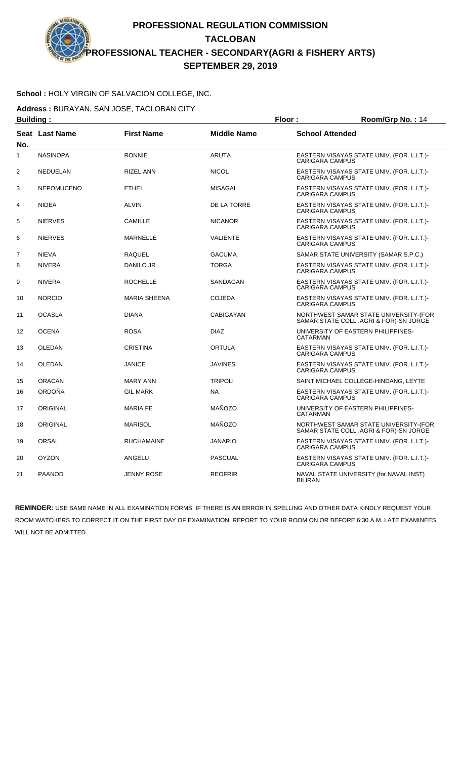### **School :** HOLY VIRGIN OF SALVACION COLLEGE, INC.

**Address :** BURAYAN, SAN JOSE, TACLOBAN CITY

| <b>Building:</b> |                   |                     |                    | Floor:<br>Room/Grp No.: 14 |                                                                                  |
|------------------|-------------------|---------------------|--------------------|----------------------------|----------------------------------------------------------------------------------|
| No.              | Seat Last Name    | <b>First Name</b>   | <b>Middle Name</b> | <b>School Attended</b>     |                                                                                  |
| $\mathbf{1}$     | <b>NASINOPA</b>   | <b>RONNIE</b>       | <b>ARUTA</b>       | <b>CARIGARA CAMPUS</b>     | EASTERN VISAYAS STATE UNIV. (FOR. L.I.T.)-                                       |
| 2                | NEDUELAN          | <b>RIZEL ANN</b>    | <b>NICOL</b>       | <b>CARIGARA CAMPUS</b>     | EASTERN VISAYAS STATE UNIV. (FOR. L.I.T.)-                                       |
| 3                | <b>NEPOMUCENO</b> | <b>ETHEL</b>        | <b>MISAGAL</b>     | <b>CARIGARA CAMPUS</b>     | EASTERN VISAYAS STATE UNIV. (FOR. L.I.T.)-                                       |
| 4                | <b>NIDEA</b>      | <b>ALVIN</b>        | DE LA TORRE        | <b>CARIGARA CAMPUS</b>     | EASTERN VISAYAS STATE UNIV. (FOR. L.I.T.)-                                       |
| 5                | <b>NIERVES</b>    | <b>CAMILLE</b>      | <b>NICANOR</b>     | <b>CARIGARA CAMPUS</b>     | EASTERN VISAYAS STATE UNIV. (FOR. L.I.T.)-                                       |
| 6                | <b>NIERVES</b>    | <b>MARNELLE</b>     | <b>VALIENTE</b>    | <b>CARIGARA CAMPUS</b>     | EASTERN VISAYAS STATE UNIV. (FOR. L.I.T.)-                                       |
| $\overline{7}$   | <b>NIEVA</b>      | <b>RAQUEL</b>       | <b>GACUMA</b>      |                            | SAMAR STATE UNIVERSITY (SAMAR S.P.C.)                                            |
| 8                | <b>NIVERA</b>     | <b>DANILO JR</b>    | <b>TORGA</b>       | <b>CARIGARA CAMPUS</b>     | EASTERN VISAYAS STATE UNIV. (FOR. L.I.T.)-                                       |
| 9                | <b>NIVERA</b>     | <b>ROCHELLE</b>     | SANDAGAN           | <b>CARIGARA CAMPUS</b>     | EASTERN VISAYAS STATE UNIV. (FOR. L.I.T.)-                                       |
| 10               | <b>NORCIO</b>     | <b>MARIA SHEENA</b> | <b>COJEDA</b>      | <b>CARIGARA CAMPUS</b>     | EASTERN VISAYAS STATE UNIV. (FOR. L.I.T.)-                                       |
| 11               | <b>OCASLA</b>     | <b>DIANA</b>        | <b>CABIGAYAN</b>   |                            | NORTHWEST SAMAR STATE UNIVERSITY-(FOR<br>SAMAR STATE COLL, AGRI & FOR)-SN JORGE  |
| 12               | <b>OCENA</b>      | <b>ROSA</b>         | <b>DIAZ</b>        | CATARMAN                   | UNIVERSITY OF EASTERN PHILIPPINES-                                               |
| 13               | <b>OLEDAN</b>     | <b>CRISTINA</b>     | <b>ORTULA</b>      | <b>CARIGARA CAMPUS</b>     | EASTERN VISAYAS STATE UNIV. (FOR. L.I.T.)-                                       |
| 14               | OLEDAN            | <b>JANICE</b>       | <b>JAVINES</b>     | <b>CARIGARA CAMPUS</b>     | EASTERN VISAYAS STATE UNIV. (FOR. L.I.T.)-                                       |
| 15               | <b>ORACAN</b>     | <b>MARY ANN</b>     | <b>TRIPOLI</b>     |                            | SAINT MICHAEL COLLEGE-HINDANG, LEYTE                                             |
| 16               | ORDOÑA            | <b>GIL MARK</b>     | <b>NA</b>          | <b>CARIGARA CAMPUS</b>     | EASTERN VISAYAS STATE UNIV. (FOR. L.I.T.)-                                       |
| 17               | <b>ORIGINAL</b>   | <b>MARIA FE</b>     | MAÑOZO             | CATARMAN                   | UNIVERSITY OF EASTERN PHILIPPINES-                                               |
| 18               | ORIGINAL          | <b>MARISOL</b>      | MAÑOZO             |                            | NORTHWEST SAMAR STATE UNIVERSITY-(FOR<br>SAMAR STATE COLL , AGRI & FOR)-SN JORGE |
| 19               | <b>ORSAL</b>      | <b>RUCHAMAINE</b>   | <b>JANARIO</b>     | <b>CARIGARA CAMPUS</b>     | EASTERN VISAYAS STATE UNIV. (FOR. L.I.T.)-                                       |
| 20               | <b>OYZON</b>      | ANGELU              | <b>PASCUAL</b>     | <b>CARIGARA CAMPUS</b>     | EASTERN VISAYAS STATE UNIV. (FOR. L.I.T.)-                                       |
| 21               | <b>PAANOD</b>     | <b>JENNY ROSE</b>   | <b>REOFRIR</b>     | <b>BILIRAN</b>             | NAVAL STATE UNIVERSITY (for.NAVAL INST)                                          |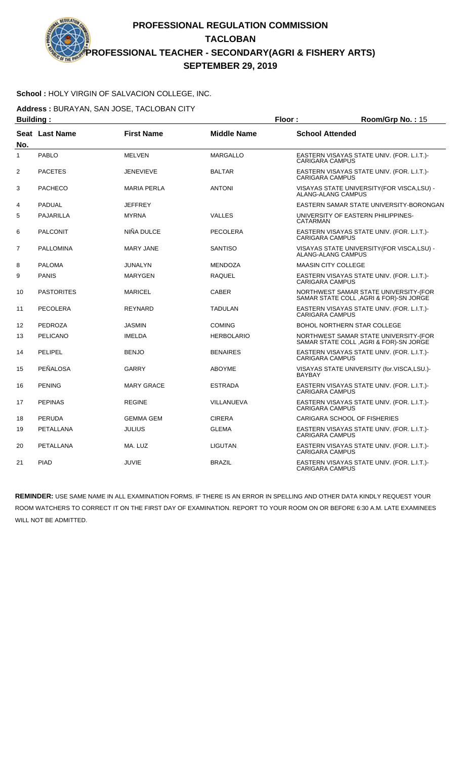#### **School :** HOLY VIRGIN OF SALVACION COLLEGE, INC.

**Address :** BURAYAN, SAN JOSE, TACLOBAN CITY

| <b>Building:</b> |                   |                    | Floor:             | Room/Grp No.: 15                                                                |
|------------------|-------------------|--------------------|--------------------|---------------------------------------------------------------------------------|
| No.              | Seat Last Name    | <b>First Name</b>  | <b>Middle Name</b> | <b>School Attended</b>                                                          |
| $\mathbf{1}$     | <b>PABLO</b>      | <b>MELVEN</b>      | <b>MARGALLO</b>    | EASTERN VISAYAS STATE UNIV. (FOR. L.I.T.)-<br><b>CARIGARA CAMPUS</b>            |
| $\overline{2}$   | <b>PACETES</b>    | <b>JENEVIEVE</b>   | <b>BALTAR</b>      | EASTERN VISAYAS STATE UNIV. (FOR. L.I.T.)-<br><b>CARIGARA CAMPUS</b>            |
| 3                | <b>PACHECO</b>    | <b>MARIA PERLA</b> | <b>ANTONI</b>      | VISAYAS STATE UNIVERSITY(FOR VISCA,LSU) -<br>ALANG-ALANG CAMPUS                 |
| $\overline{4}$   | <b>PADUAL</b>     | <b>JEFFREY</b>     |                    | EASTERN SAMAR STATE UNIVERSITY-BORONGAN                                         |
| 5                | <b>PAJARILLA</b>  | <b>MYRNA</b>       | <b>VALLES</b>      | UNIVERSITY OF EASTERN PHILIPPINES-<br>CATARMAN                                  |
| 6                | <b>PALCONIT</b>   | NIÑA DULCE         | PECOLERA           | EASTERN VISAYAS STATE UNIV. (FOR. L.I.T.)-<br>CARIGARA CAMPUS                   |
| $\overline{7}$   | <b>PALLOMINA</b>  | <b>MARY JANE</b>   | <b>SANTISO</b>     | VISAYAS STATE UNIVERSITY (FOR VISCA, LSU) -<br>ALANG-ALANG CAMPUS               |
| 8                | <b>PALOMA</b>     | <b>JUNALYN</b>     | <b>MENDOZA</b>     | <b>MAASIN CITY COLLEGE</b>                                                      |
| 9                | <b>PANIS</b>      | <b>MARYGEN</b>     | <b>RAQUEL</b>      | EASTERN VISAYAS STATE UNIV. (FOR. L.I.T.)-<br><b>CARIGARA CAMPUS</b>            |
| 10               | <b>PASTORITES</b> | MARICEL            | <b>CABER</b>       | NORTHWEST SAMAR STATE UNIVERSITY-(FOR<br>SAMAR STATE COLL, AGRI & FOR)-SN JORGE |
| 11               | PECOLERA          | <b>REYNARD</b>     | <b>TADULAN</b>     | EASTERN VISAYAS STATE UNIV. (FOR. L.I.T.)-<br><b>CARIGARA CAMPUS</b>            |
| 12               | <b>PEDROZA</b>    | <b>JASMIN</b>      | <b>COMING</b>      | BOHOL NORTHERN STAR COLLEGE                                                     |
| 13               | <b>PELICANO</b>   | <b>IMELDA</b>      | <b>HERBOLARIO</b>  | NORTHWEST SAMAR STATE UNIVERSITY-(FOR<br>SAMAR STATE COLL, AGRI & FOR)-SN JORGE |
| 14               | <b>PELIPEL</b>    | <b>BENJO</b>       | <b>BENAIRES</b>    | EASTERN VISAYAS STATE UNIV. (FOR. L.I.T.)-<br><b>CARIGARA CAMPUS</b>            |
| 15               | PEÑALOSA          | GARRY              | <b>ABOYME</b>      | VISAYAS STATE UNIVERSITY (for.VISCA,LSU.)-<br><b>BAYBAY</b>                     |
| 16               | <b>PENING</b>     | <b>MARY GRACE</b>  | <b>ESTRADA</b>     | EASTERN VISAYAS STATE UNIV. (FOR. L.I.T.)-<br><b>CARIGARA CAMPUS</b>            |
| 17               | <b>PEPINAS</b>    | <b>REGINE</b>      | VILLANUEVA         | EASTERN VISAYAS STATE UNIV. (FOR. L.I.T.)-<br><b>CARIGARA CAMPUS</b>            |
| 18               | <b>PERUDA</b>     | <b>GEMMA GEM</b>   | <b>CIRERA</b>      | CARIGARA SCHOOL OF FISHERIES                                                    |
| 19               | <b>PETALLANA</b>  | <b>JULIUS</b>      | <b>GLEMA</b>       | EASTERN VISAYAS STATE UNIV. (FOR. L.I.T.)-<br>CARIGARA CAMPUS                   |
| 20               | <b>PETALLANA</b>  | MA. LUZ            | <b>LIGUTAN</b>     | EASTERN VISAYAS STATE UNIV. (FOR. L.I.T.)-<br>CARIGARA CAMPUS                   |
| 21               | <b>PIAD</b>       | <b>JUVIE</b>       | <b>BRAZIL</b>      | EASTERN VISAYAS STATE UNIV. (FOR. L.I.T.)-<br><b>CARIGARA CAMPUS</b>            |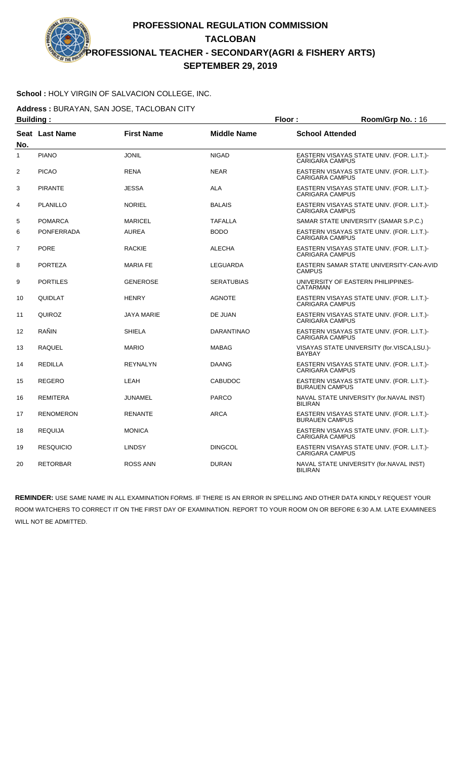### **School :** HOLY VIRGIN OF SALVACION COLLEGE, INC.

**Address :** BURAYAN, SAN JOSE, TACLOBAN CITY

| <b>Building:</b> |                   |                   | Floor:             | Room/Grp No.: 16                                                     |
|------------------|-------------------|-------------------|--------------------|----------------------------------------------------------------------|
| No.              | Seat Last Name    | <b>First Name</b> | <b>Middle Name</b> | <b>School Attended</b>                                               |
| $\mathbf{1}$     | <b>PIANO</b>      | <b>JONIL</b>      | <b>NIGAD</b>       | EASTERN VISAYAS STATE UNIV. (FOR. L.I.T.)-<br><b>CARIGARA CAMPUS</b> |
| 2                | <b>PICAO</b>      | <b>RENA</b>       | <b>NEAR</b>        | EASTERN VISAYAS STATE UNIV. (FOR. L.I.T.)-<br><b>CARIGARA CAMPUS</b> |
| 3                | <b>PIRANTE</b>    | <b>JESSA</b>      | <b>ALA</b>         | EASTERN VISAYAS STATE UNIV. (FOR. L.I.T.)-<br><b>CARIGARA CAMPUS</b> |
| 4                | <b>PLANILLO</b>   | <b>NORIEL</b>     | <b>BALAIS</b>      | EASTERN VISAYAS STATE UNIV. (FOR. L.I.T.)-<br><b>CARIGARA CAMPUS</b> |
| 5                | <b>POMARCA</b>    | <b>MARICEL</b>    | <b>TAFALLA</b>     | SAMAR STATE UNIVERSITY (SAMAR S.P.C.)                                |
| 6                | <b>PONFERRADA</b> | <b>AUREA</b>      | <b>BODO</b>        | EASTERN VISAYAS STATE UNIV. (FOR. L.I.T.)-<br><b>CARIGARA CAMPUS</b> |
| $\overline{7}$   | <b>PORE</b>       | <b>RACKIE</b>     | <b>ALECHA</b>      | EASTERN VISAYAS STATE UNIV. (FOR. L.I.T.)-<br><b>CARIGARA CAMPUS</b> |
| 8                | <b>PORTEZA</b>    | <b>MARIA FE</b>   | LEGUARDA           | EASTERN SAMAR STATE UNIVERSITY-CAN-AVID<br><b>CAMPUS</b>             |
| 9                | <b>PORTILES</b>   | <b>GENEROSE</b>   | <b>SERATUBIAS</b>  | UNIVERSITY OF EASTERN PHILIPPINES-<br><b>CATARMAN</b>                |
| 10               | QUIDLAT           | <b>HENRY</b>      | <b>AGNOTE</b>      | EASTERN VISAYAS STATE UNIV. (FOR. L.I.T.)-<br><b>CARIGARA CAMPUS</b> |
| 11               | QUIROZ            | <b>JAYA MARIE</b> | DE JUAN            | EASTERN VISAYAS STATE UNIV. (FOR. L.I.T.)-<br><b>CARIGARA CAMPUS</b> |
| 12               | RAÑIN             | <b>SHIELA</b>     | <b>DARANTINAO</b>  | EASTERN VISAYAS STATE UNIV. (FOR. L.I.T.)-<br><b>CARIGARA CAMPUS</b> |
| 13               | <b>RAQUEL</b>     | <b>MARIO</b>      | <b>MABAG</b>       | VISAYAS STATE UNIVERSITY (for.VISCA,LSU.)-<br><b>BAYBAY</b>          |
| 14               | <b>REDILLA</b>    | <b>REYNALYN</b>   | <b>DAANG</b>       | EASTERN VISAYAS STATE UNIV. (FOR. L.I.T.)-<br><b>CARIGARA CAMPUS</b> |
| 15               | <b>REGERO</b>     | LEAH              | <b>CABUDOC</b>     | EASTERN VISAYAS STATE UNIV. (FOR. L.I.T.)-<br><b>BURAUEN CAMPUS</b>  |
| 16               | <b>REMITERA</b>   | JUNAMEL           | <b>PARCO</b>       | NAVAL STATE UNIVERSITY (for.NAVAL INST)<br><b>BILIRAN</b>            |
| 17               | <b>RENOMERON</b>  | <b>RENANTE</b>    | <b>ARCA</b>        | EASTERN VISAYAS STATE UNIV. (FOR. L.I.T.)-<br><b>BURAUEN CAMPUS</b>  |
| 18               | <b>REQUIJA</b>    | <b>MONICA</b>     |                    | EASTERN VISAYAS STATE UNIV. (FOR. L.I.T.)-<br><b>CARIGARA CAMPUS</b> |
| 19               | <b>RESQUICIO</b>  | <b>LINDSY</b>     | <b>DINGCOL</b>     | EASTERN VISAYAS STATE UNIV. (FOR. L.I.T.)-<br><b>CARIGARA CAMPUS</b> |
| 20               | <b>RETORBAR</b>   | <b>ROSS ANN</b>   | <b>DURAN</b>       | NAVAL STATE UNIVERSITY (for.NAVAL INST)<br><b>BILIRAN</b>            |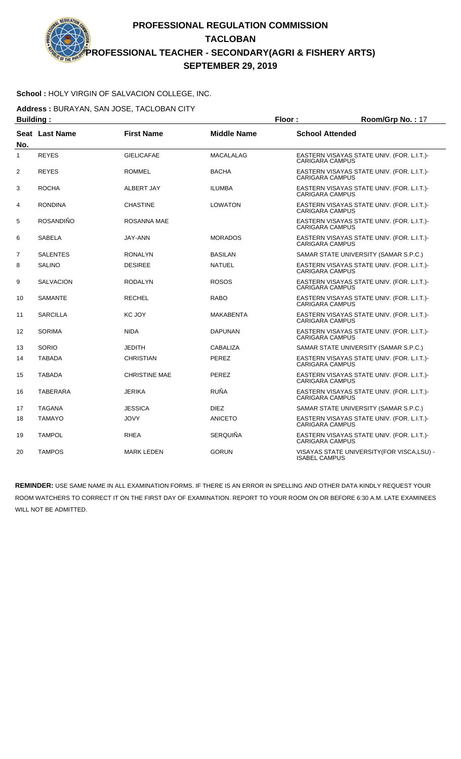### **School :** HOLY VIRGIN OF SALVACION COLLEGE, INC.

**Address :** BURAYAN, SAN JOSE, TACLOBAN CITY

| <b>Building:</b> |                  |                      |                    | Floor:                 | Room/Grp No.: 17                            |
|------------------|------------------|----------------------|--------------------|------------------------|---------------------------------------------|
| No.              | Seat Last Name   | <b>First Name</b>    | <b>Middle Name</b> | <b>School Attended</b> |                                             |
| $\mathbf{1}$     | <b>REYES</b>     | <b>GIELICAFAE</b>    | <b>MACALALAG</b>   | <b>CARIGARA CAMPUS</b> | EASTERN VISAYAS STATE UNIV. (FOR. L.I.T.)-  |
| 2                | <b>REYES</b>     | <b>ROMMEL</b>        | <b>BACHA</b>       | <b>CARIGARA CAMPUS</b> | EASTERN VISAYAS STATE UNIV. (FOR. L.I.T.)-  |
| 3                | <b>ROCHA</b>     | ALBERT JAY           | <b>ILUMBA</b>      | <b>CARIGARA CAMPUS</b> | EASTERN VISAYAS STATE UNIV. (FOR. L.I.T.)-  |
| 4                | <b>RONDINA</b>   | <b>CHASTINE</b>      | <b>LOWATON</b>     | <b>CARIGARA CAMPUS</b> | EASTERN VISAYAS STATE UNIV. (FOR. L.I.T.)-  |
| 5                | <b>ROSANDIÑO</b> | ROSANNA MAE          |                    | <b>CARIGARA CAMPUS</b> | EASTERN VISAYAS STATE UNIV. (FOR. L.I.T.)-  |
| 6                | <b>SABELA</b>    | JAY-ANN              | <b>MORADOS</b>     | <b>CARIGARA CAMPUS</b> | EASTERN VISAYAS STATE UNIV. (FOR. L.I.T.)-  |
| $\overline{7}$   | <b>SALENTES</b>  | <b>RONALYN</b>       | <b>BASILAN</b>     |                        | SAMAR STATE UNIVERSITY (SAMAR S.P.C.)       |
| 8                | <b>SALINO</b>    | <b>DESIREE</b>       | <b>NATUEL</b>      | <b>CARIGARA CAMPUS</b> | EASTERN VISAYAS STATE UNIV. (FOR. L.I.T.)-  |
| 9                | <b>SALVACION</b> | <b>RODALYN</b>       | <b>ROSOS</b>       | <b>CARIGARA CAMPUS</b> | EASTERN VISAYAS STATE UNIV. (FOR. L.I.T.)-  |
| 10               | <b>SAMANTE</b>   | <b>RECHEL</b>        | <b>RABO</b>        | CARIGARA CAMPUS        | EASTERN VISAYAS STATE UNIV. (FOR. L.I.T.)-  |
| 11               | <b>SARCILLA</b>  | KC JOY               | <b>MAKABENTA</b>   | <b>CARIGARA CAMPUS</b> | EASTERN VISAYAS STATE UNIV. (FOR. L.I.T.)-  |
| 12               | <b>SORIMA</b>    | <b>NIDA</b>          | <b>DAPUNAN</b>     | <b>CARIGARA CAMPUS</b> | EASTERN VISAYAS STATE UNIV. (FOR. L.I.T.)-  |
| 13               | SORIO            | <b>JEDITH</b>        | <b>CABALIZA</b>    |                        | SAMAR STATE UNIVERSITY (SAMAR S.P.C.)       |
| 14               | <b>TABADA</b>    | <b>CHRISTIAN</b>     | <b>PEREZ</b>       | <b>CARIGARA CAMPUS</b> | EASTERN VISAYAS STATE UNIV. (FOR. L.I.T.)-  |
| 15               | <b>TABADA</b>    | <b>CHRISTINE MAE</b> | <b>PEREZ</b>       | <b>CARIGARA CAMPUS</b> | EASTERN VISAYAS STATE UNIV. (FOR. L.I.T.)-  |
| 16               | TABERARA         | <b>JERIKA</b>        | <b>RUÑA</b>        | <b>CARIGARA CAMPUS</b> | EASTERN VISAYAS STATE UNIV. (FOR. L.I.T.)-  |
| 17               | <b>TAGANA</b>    | <b>JESSICA</b>       | <b>DIEZ</b>        |                        | SAMAR STATE UNIVERSITY (SAMAR S.P.C.)       |
| 18               | <b>TAMAYO</b>    | <b>JOVY</b>          | <b>ANICETO</b>     | <b>CARIGARA CAMPUS</b> | EASTERN VISAYAS STATE UNIV. (FOR. L.I.T.)-  |
| 19               | <b>TAMPOL</b>    | <b>RHEA</b>          | <b>SERQUIÑA</b>    | <b>CARIGARA CAMPUS</b> | EASTERN VISAYAS STATE UNIV. (FOR. L.I.T.)-  |
| 20               | <b>TAMPOS</b>    | <b>MARK LEDEN</b>    | <b>GORUN</b>       | <b>ISABEL CAMPUS</b>   | VISAYAS STATE UNIVERSITY (FOR VISCA, LSU) - |